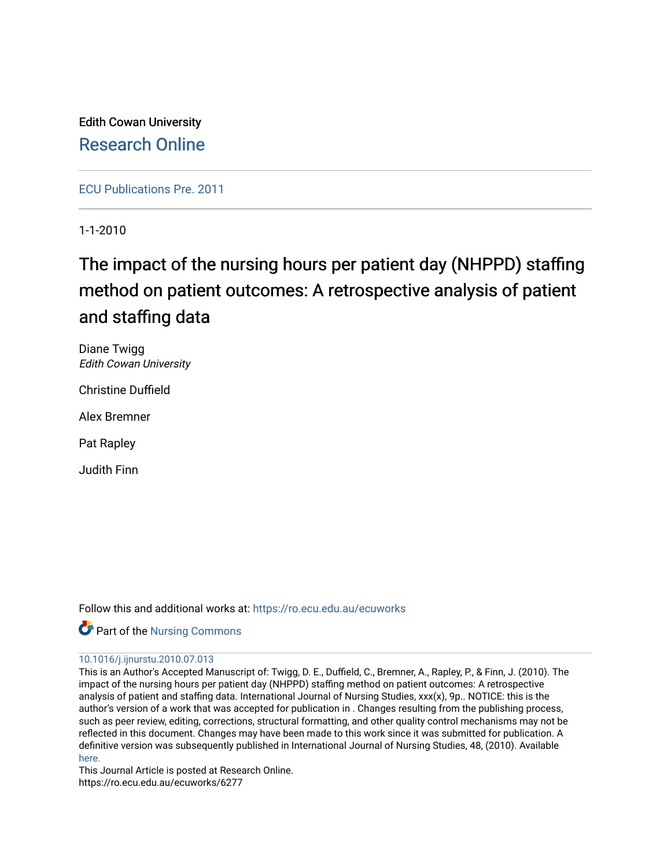Edith Cowan University [Research Online](https://ro.ecu.edu.au/) 

[ECU Publications Pre. 2011](https://ro.ecu.edu.au/ecuworks)

1-1-2010

# The impact of the nursing hours per patient day (NHPPD) staffing method on patient outcomes: A retrospective analysis of patient and staffing data

Diane Twigg Edith Cowan University

Christine Duffield

Alex Bremner

Pat Rapley

Judith Finn

Follow this and additional works at: [https://ro.ecu.edu.au/ecuworks](https://ro.ecu.edu.au/ecuworks?utm_source=ro.ecu.edu.au%2Fecuworks%2F6277&utm_medium=PDF&utm_campaign=PDFCoverPages) 

Part of the [Nursing Commons](http://network.bepress.com/hgg/discipline/718?utm_source=ro.ecu.edu.au%2Fecuworks%2F6277&utm_medium=PDF&utm_campaign=PDFCoverPages) 

#### [10.1016/j.ijnurstu.2010.07.013](http://dx.doi.org/10.1016/j.ijnurstu.2010.07.013)

This is an Author's Accepted Manuscript of: Twigg, D. E., Duffield, C., Bremner, A., Rapley, P., & Finn, J. (2010). The impact of the nursing hours per patient day (NHPPD) staffing method on patient outcomes: A retrospective analysis of patient and staffing data. International Journal of Nursing Studies, xxx(x), 9p.. NOTICE: this is the author's version of a work that was accepted for publication in . Changes resulting from the publishing process, such as peer review, editing, corrections, structural formatting, and other quality control mechanisms may not be reflected in this document. Changes may have been made to this work since it was submitted for publication. A definitive version was subsequently published in International Journal of Nursing Studies, 48, (2010). Available here.

This Journal Article is posted at Research Online. https://ro.ecu.edu.au/ecuworks/6277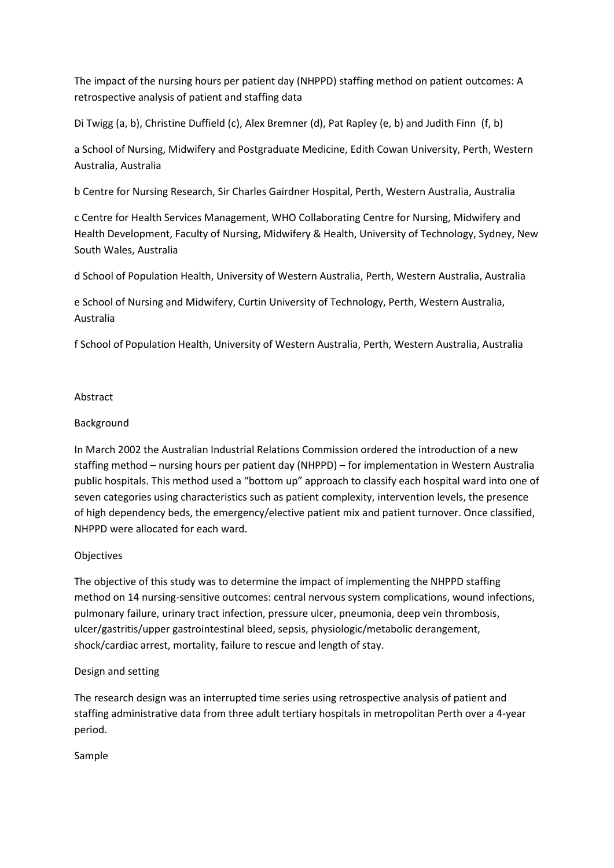The impact of the nursing hours per patient day (NHPPD) staffing method on patient outcomes: A retrospective analysis of patient and staffing data

[Di Twigg](http://www.sciencedirect.com/science?_ob=RedirectURL&_method=outwardLink&_partnerName=27983&_origin=article&_zone=art_page&_linkType=scopusAuthorDocuments&_targetURL=http%3A%2F%2Fwww.scopus.com%2Fscopus%2Finward%2Fauthor.url%3FpartnerID%3D10%26rel%3D3.0.0%26sortField%3Dcited%26sortOrder%3Dasc%26author%3DTwigg,%2520Di%26authorID%3D6701795209%26md5%3D99d32bfe62687e19e1d03e0c382737fd&_acct=C000052520&_version=1&_userid=1385697&md5=94f99cee37d6656b61a02f4ca12925fc) [\(a,](http://www.sciencedirect.com/science/article/pii/S0020748910002415#aff0005) [b\)](http://www.sciencedirect.com/science/article/pii/S0020748910002415#aff0010)[, Christine Duffield](http://www.sciencedirect.com/science?_ob=RedirectURL&_method=outwardLink&_partnerName=27983&_origin=article&_zone=art_page&_linkType=scopusAuthorDocuments&_targetURL=http%3A%2F%2Fwww.scopus.com%2Fscopus%2Finward%2Fauthor.url%3FpartnerID%3D10%26rel%3D3.0.0%26sortField%3Dcited%26sortOrder%3Dasc%26author%3DDuffield,%2520Christine%26authorID%3D7006447537%26md5%3Dcaf307ca2e4bceb504b3ae117033e40e&_acct=C000052520&_version=1&_userid=1385697&md5=044cc119207e1f733dc069656c89908d) [\(c\)](http://www.sciencedirect.com/science/article/pii/S0020748910002415#aff0015)[, Alex Bremner](http://www.sciencedirect.com/science?_ob=RedirectURL&_method=outwardLink&_partnerName=27983&_origin=article&_zone=art_page&_linkType=scopusAuthorDocuments&_targetURL=http%3A%2F%2Fwww.scopus.com%2Fscopus%2Finward%2Fauthor.url%3FpartnerID%3D10%26rel%3D3.0.0%26sortField%3Dcited%26sortOrder%3Dasc%26author%3DBremner,%2520Alex%26authorID%3D9841283100%26md5%3D8face603409184e61e3001dd69ae1517&_acct=C000052520&_version=1&_userid=1385697&md5=cf5845afc17158bbbadb28fc3bbb9da2) [\(d\)](http://www.sciencedirect.com/science/article/pii/S0020748910002415#aff0020)[, Pat Rapley](http://www.sciencedirect.com/science?_ob=RedirectURL&_method=outwardLink&_partnerName=27983&_origin=article&_zone=art_page&_linkType=scopusAuthorDocuments&_targetURL=http%3A%2F%2Fwww.scopus.com%2Fscopus%2Finward%2Fauthor.url%3FpartnerID%3D10%26rel%3D3.0.0%26sortField%3Dcited%26sortOrder%3Dasc%26author%3DRapley,%2520Pat%26authorID%3D6603408331%26md5%3D08824b439515d376d31b36a21ba3f88b&_acct=C000052520&_version=1&_userid=1385697&md5=5a51ae38cd67fa29f73990f13c355cd0) [\(e,](http://www.sciencedirect.com/science/article/pii/S0020748910002415#aff0025) [b\)](http://www.sciencedirect.com/science/article/pii/S0020748910002415#aff0010) and [Judith Finn](http://www.sciencedirect.com/science?_ob=RedirectURL&_method=outwardLink&_partnerName=27983&_origin=article&_zone=art_page&_linkType=scopusAuthorDocuments&_targetURL=http%3A%2F%2Fwww.scopus.com%2Fscopus%2Finward%2Fauthor.url%3FpartnerID%3D10%26rel%3D3.0.0%26sortField%3Dcited%26sortOrder%3Dasc%26author%3DFinn,%2520Judith%26authorID%3D7202432925%26md5%3Da05d4ebefe95817e6ac71b552dbebcc3&_acct=C000052520&_version=1&_userid=1385697&md5=72541350b1d16fd2ce82e14aadf21e50) [\(f,](http://www.sciencedirect.com/science/article/pii/S0020748910002415#aff0030) [b\)](http://www.sciencedirect.com/science/article/pii/S0020748910002415#aff0010)

a School of Nursing, Midwifery and Postgraduate Medicine, Edith Cowan University, Perth, Western Australia, Australia

b Centre for Nursing Research, Sir Charles Gairdner Hospital, Perth, Western Australia, Australia

c Centre for Health Services Management, WHO Collaborating Centre for Nursing, Midwifery and Health Development, Faculty of Nursing, Midwifery & Health, University of Technology, Sydney, New South Wales, Australia

d School of Population Health, University of Western Australia, Perth, Western Australia, Australia

e School of Nursing and Midwifery, Curtin University of Technology, Perth, Western Australia, Australia

f School of Population Health, University of Western Australia, Perth, Western Australia, Australia

#### Abstract

## Background

In March 2002 the Australian Industrial Relations Commission ordered the introduction of a new staffing method – nursing hours per patient day (NHPPD) – for implementation in Western Australia public hospitals. This method used a "bottom up" approach to classify each hospital ward into one of seven categories using characteristics such as patient complexity, intervention levels, the presence of high dependency beds, the emergency/elective patient mix and patient turnover. Once classified, NHPPD were allocated for each ward.

## Objectives

The objective of this study was to determine the impact of implementing the NHPPD staffing method on 14 nursing-sensitive outcomes: central nervous system complications, wound infections, pulmonary failure, urinary tract infection, pressure ulcer, pneumonia, deep vein thrombosis, ulcer/gastritis/upper gastrointestinal bleed, sepsis, physiologic/metabolic derangement, shock/cardiac arrest, mortality, failure to rescue and length of stay.

## Design and setting

The research design was an interrupted time series using retrospective analysis of patient and staffing administrative data from three adult tertiary hospitals in metropolitan Perth over a 4-year period.

Sample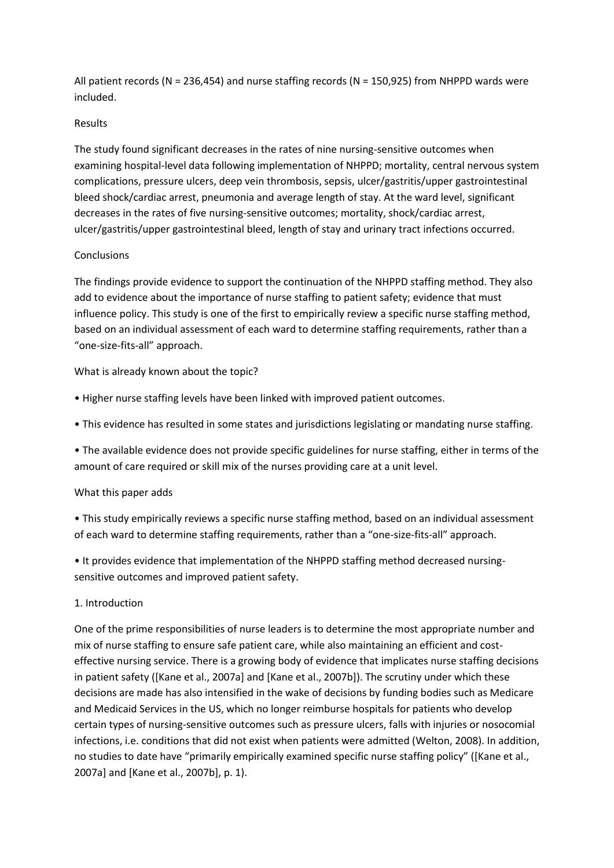All patient records (N = 236,454) and nurse staffing records (N = 150,925) from NHPPD wards were included.

#### Results

The study found significant decreases in the rates of nine nursing-sensitive outcomes when examining hospital-level data following implementation of NHPPD; mortality, central nervous system complications, pressure ulcers, deep vein thrombosis, sepsis, ulcer/gastritis/upper gastrointestinal bleed shock/cardiac arrest, pneumonia and average length of stay. At the ward level, significant decreases in the rates of five nursing-sensitive outcomes; mortality, shock/cardiac arrest, ulcer/gastritis/upper gastrointestinal bleed, length of stay and urinary tract infections occurred.

#### **Conclusions**

The findings provide evidence to support the continuation of the NHPPD staffing method. They also add to evidence about the importance of nurse staffing to patient safety; evidence that must influence policy. This study is one of the first to empirically review a specific nurse staffing method, based on an individual assessment of each ward to determine staffing requirements, rather than a "one-size-fits-all" approach.

What is already known about the topic?

- Higher nurse staffing levels have been linked with improved patient outcomes.
- This evidence has resulted in some states and jurisdictions legislating or mandating nurse staffing.

• The available evidence does not provide specific guidelines for nurse staffing, either in terms of the amount of care required or skill mix of the nurses providing care at a unit level.

#### What this paper adds

• This study empirically reviews a specific nurse staffing method, based on an individual assessment of each ward to determine staffing requirements, rather than a "one-size-fits-all" approach.

• It provides evidence that implementation of the NHPPD staffing method decreased nursingsensitive outcomes and improved patient safety.

#### 1. Introduction

One of the prime responsibilities of nurse leaders is to determine the most appropriate number and mix of nurse staffing to ensure safe patient care, while also maintaining an efficient and costeffective nursing service. There is a growing body of evidence that implicates nurse staffing decisions in patient safety [\(\[Kane et al., 2007a\]](http://www.sciencedirect.com/science/article/pii/S0020748910002415#bib0105) an[d \[Kane et al., 2007b\]\)](http://www.sciencedirect.com/science/article/pii/S0020748910002415#bib0110). The scrutiny under which these decisions are made has also intensified in the wake of decisions by funding bodies such as Medicare and Medicaid Services in the US, which no longer reimburse hospitals for patients who develop certain types of nursing-sensitive outcomes such as pressure ulcers, falls with injuries or nosocomial infections, i.e. conditions that did not exist when patients were admitted [\(Welton, 2008\)](http://www.sciencedirect.com/science/article/pii/S0020748910002415#bib0180). In addition, no studies to date have "primarily empirically examined specific nurse staffing policy" ([\[Kane et al.,](http://www.sciencedirect.com/science/article/pii/S0020748910002415#bib0105)  [2007a\]](http://www.sciencedirect.com/science/article/pii/S0020748910002415#bib0105) an[d \[Kane et al., 2007b\],](http://www.sciencedirect.com/science/article/pii/S0020748910002415#bib0110) p. 1).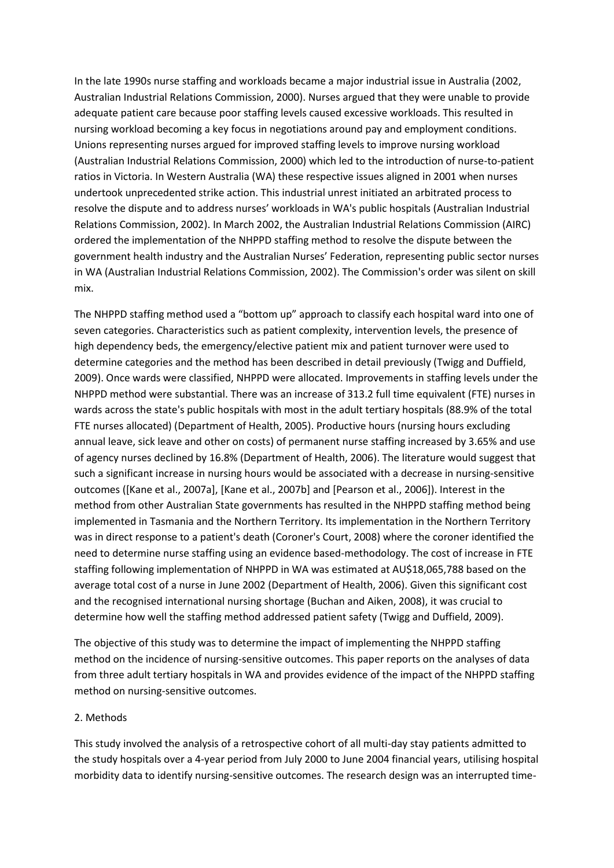In the late 1990s nurse staffing and workloads became a major industrial issue in Australia (2002, [Australian Industrial Relations Commission, 2000\)](http://www.sciencedirect.com/science/article/pii/S0020748910002415#bib0030). Nurses argued that they were unable to provide adequate patient care because poor staffing levels caused excessive workloads. This resulted in nursing workload becoming a key focus in negotiations around pay and employment conditions. Unions representing nurses argued for improved staffing levels to improve nursing workload [\(Australian Industrial Relations Commission,](http://www.sciencedirect.com/science/article/pii/S0020748910002415#bib0030) 2000) which led to the introduction of nurse-to-patient ratios in Victoria. In Western Australia (WA) these respective issues aligned in 2001 when nurses undertook unprecedented strike action. This industrial unrest initiated an arbitrated process to resolve the dispute and to address nurses' workloads in WA's public hospitals ([Australian Industrial](http://www.sciencedirect.com/science/article/pii/S0020748910002415#bib0025)  [Relations Commission, 2002\)](http://www.sciencedirect.com/science/article/pii/S0020748910002415#bib0025). In March 2002, the Australian Industrial Relations Commission (AIRC) ordered the implementation of the NHPPD staffing method to resolve the dispute between the government health industry and the Australian Nurses' Federation, representing public sector nurses in WA [\(Australian Industrial Relations Commission, 2002\)](http://www.sciencedirect.com/science/article/pii/S0020748910002415#bib0025). The Commission's order was silent on skill mix.

The NHPPD staffing method used a "bottom up" approach to classify each hospital ward into one of seven categories. Characteristics such as patient complexity, intervention levels, the presence of high dependency beds, the emergency/elective patient mix and patient turnover were used to determine categories and the method has been described in detail previously [\(Twigg and Duffield,](http://www.sciencedirect.com/science/article/pii/S0020748910002415#bib0175)  [2009\)](http://www.sciencedirect.com/science/article/pii/S0020748910002415#bib0175). Once wards were classified, NHPPD were allocated. Improvements in staffing levels under the NHPPD method were substantial. There was an increase of 313.2 full time equivalent (FTE) nurses in wards across the state's public hospitals with most in the adult tertiary hospitals (88.9% of the total FTE nurses allocated) [\(Department of Health, 2005\)](http://www.sciencedirect.com/science/article/pii/S0020748910002415#bib0060). Productive hours (nursing hours excluding annual leave, sick leave and other on costs) of permanent nurse staffing increased by 3.65% and use of agency nurses declined by 16.8% [\(Department of Health, 2006\)](http://www.sciencedirect.com/science/article/pii/S0020748910002415#bib0055). The literature would suggest that such a significant increase in nursing hours would be associated with a decrease in nursing-sensitive outcomes [\(\[Kane et al., 2007a\],](http://www.sciencedirect.com/science/article/pii/S0020748910002415#bib0105) [\[Kane et al., 2007b\]](http://www.sciencedirect.com/science/article/pii/S0020748910002415#bib0110) an[d \[Pearson et al., 2006\]\)](http://www.sciencedirect.com/science/article/pii/S0020748910002415#bib0150). Interest in the method from other Australian State governments has resulted in the NHPPD staffing method being implemented in Tasmania and the Northern Territory. Its implementation in the Northern Territory was in direct response to a patient's death [\(Coroner's Court, 2008\)](http://www.sciencedirect.com/science/article/pii/S0020748910002415#bib0050) where the coroner identified the need to determine nurse staffing using an evidence based-methodology. The cost of increase in FTE staffing following implementation of NHPPD in WA was estimated at AU\$18,065,788 based on the average total cost of a nurse in June 2002 [\(Department of Health, 2006\)](http://www.sciencedirect.com/science/article/pii/S0020748910002415#bib0055). Given this significant cost and the recognised international nursing shortage [\(Buchan and Aiken, 2008\)](http://www.sciencedirect.com/science/article/pii/S0020748910002415#bib0040), it was crucial to determine how well the staffing method addressed patient safety [\(Twigg and Duffield, 2009\)](http://www.sciencedirect.com/science/article/pii/S0020748910002415#bib0175).

The objective of this study was to determine the impact of implementing the NHPPD staffing method on the incidence of nursing-sensitive outcomes. This paper reports on the analyses of data from three adult tertiary hospitals in WA and provides evidence of the impact of the NHPPD staffing method on nursing-sensitive outcomes.

#### 2. Methods

This study involved the analysis of a retrospective cohort of all multi-day stay patients admitted to the study hospitals over a 4-year period from July 2000 to June 2004 financial years, utilising hospital morbidity data to identify nursing-sensitive outcomes. The research design was an interrupted time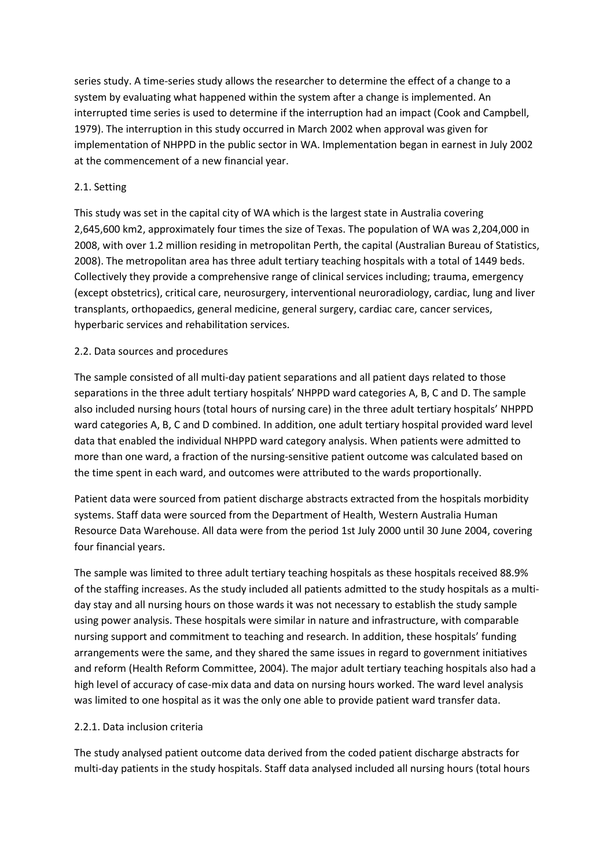series study. A time-series study allows the researcher to determine the effect of a change to a system by evaluating what happened within the system after a change is implemented. An interrupted time series is used to determine if the interruption had an impact [\(Cook and Campbell,](http://www.sciencedirect.com/science/article/pii/S0020748910002415#bib0045)  [1979\)](http://www.sciencedirect.com/science/article/pii/S0020748910002415#bib0045). The interruption in this study occurred in March 2002 when approval was given for implementation of NHPPD in the public sector in WA. Implementation began in earnest in July 2002 at the commencement of a new financial year.

## 2.1. Setting

This study was set in the capital city of WA which is the largest state in Australia covering 2,645,600 km2, approximately four times the size of Texas. The population of WA was 2,204,000 in 2008, with over 1.2 million residing in metropolitan Perth, the capital [\(Australian Bureau of Statistics,](http://www.sciencedirect.com/science/article/pii/S0020748910002415#bib0020)  [2008\)](http://www.sciencedirect.com/science/article/pii/S0020748910002415#bib0020). The metropolitan area has three adult tertiary teaching hospitals with a total of 1449 beds. Collectively they provide a comprehensive range of clinical services including; trauma, emergency (except obstetrics), critical care, neurosurgery, interventional neuroradiology, cardiac, lung and liver transplants, orthopaedics, general medicine, general surgery, cardiac care, cancer services, hyperbaric services and rehabilitation services.

## 2.2. Data sources and procedures

The sample consisted of all multi-day patient separations and all patient days related to those separations in the three adult tertiary hospitals' NHPPD ward categories A, B, C and D. The sample also included nursing hours (total hours of nursing care) in the three adult tertiary hospitals' NHPPD ward categories A, B, C and D combined. In addition, one adult tertiary hospital provided ward level data that enabled the individual NHPPD ward category analysis. When patients were admitted to more than one ward, a fraction of the nursing-sensitive patient outcome was calculated based on the time spent in each ward, and outcomes were attributed to the wards proportionally.

Patient data were sourced from patient discharge abstracts extracted from the hospitals morbidity systems. Staff data were sourced from the Department of Health, Western Australia Human Resource Data Warehouse. All data were from the period 1st July 2000 until 30 June 2004, covering four financial years.

The sample was limited to three adult tertiary teaching hospitals as these hospitals received 88.9% of the staffing increases. As the study included all patients admitted to the study hospitals as a multiday stay and all nursing hours on those wards it was not necessary to establish the study sample using power analysis. These hospitals were similar in nature and infrastructure, with comparable nursing support and commitment to teaching and research. In addition, these hospitals' funding arrangements were the same, and they shared the same issues in regard to government initiatives and reform [\(Health Reform Committee, 2004\)](http://www.sciencedirect.com/science/article/pii/S0020748910002415#bib0090). The major adult tertiary teaching hospitals also had a high level of accuracy of case-mix data and data on nursing hours worked. The ward level analysis was limited to one hospital as it was the only one able to provide patient ward transfer data.

#### 2.2.1. Data inclusion criteria

The study analysed patient outcome data derived from the coded patient discharge abstracts for multi-day patients in the study hospitals. Staff data analysed included all nursing hours (total hours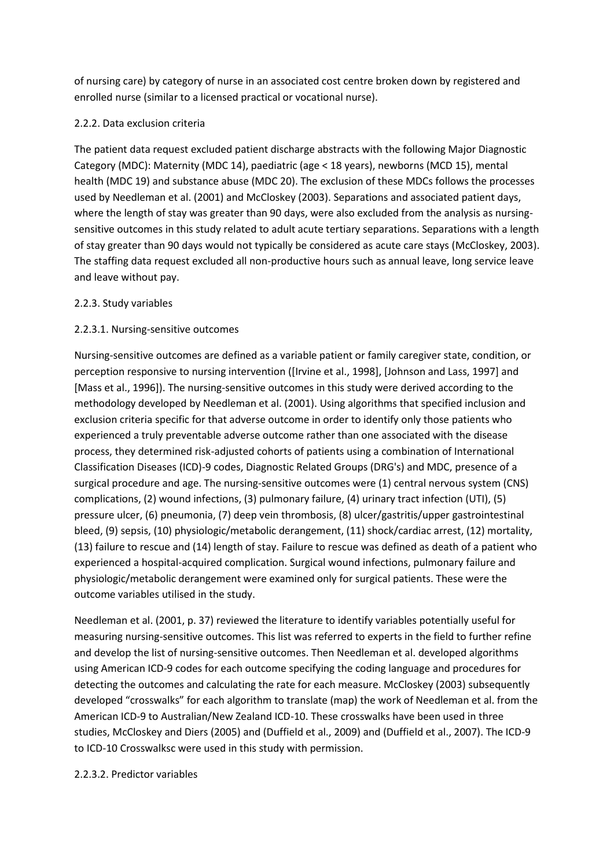of nursing care) by category of nurse in an associated cost centre broken down by registered and enrolled nurse (similar to a licensed practical or vocational nurse).

## 2.2.2. Data exclusion criteria

The patient data request excluded patient discharge abstracts with the following Major Diagnostic Category (MDC): Maternity (MDC 14), paediatric (age < 18 years), newborns (MCD 15), mental health (MDC 19) and substance abuse (MDC 20). The exclusion of these MDCs follows the processes used by [Needleman et al. \(2001\)](http://www.sciencedirect.com/science/article/pii/S0020748910002415#bib0145) an[d McCloskey \(2003\).](http://www.sciencedirect.com/science/article/pii/S0020748910002415#bib0130) Separations and associated patient days, where the length of stay was greater than 90 days, were also excluded from the analysis as nursingsensitive outcomes in this study related to adult acute tertiary separations. Separations with a length of stay greater than 90 days would not typically be considered as acute care stays [\(McCloskey, 2003\)](http://www.sciencedirect.com/science/article/pii/S0020748910002415#bib0130). The staffing data request excluded all non-productive hours such as annual leave, long service leave and leave without pay.

## 2.2.3. Study variables

# 2.2.3.1. Nursing-sensitive outcomes

Nursing-sensitive outcomes are defined as a variable patient or family caregiver state, condition, or perception responsive to nursing intervention [\(\[Irvine et al., 1998\],](http://www.sciencedirect.com/science/article/pii/S0020748910002415#bib0095) [\[Johnson and Lass, 1997\]](http://www.sciencedirect.com/science/article/pii/S0020748910002415#bib0100) and [\[Mass et al., 1996\]\)](http://www.sciencedirect.com/science/article/pii/S0020748910002415#bib0125). The nursing-sensitive outcomes in this study were derived according to the methodology developed by [Needleman et al. \(2001\).](http://www.sciencedirect.com/science/article/pii/S0020748910002415#bib0145) Using algorithms that specified inclusion and exclusion criteria specific for that adverse outcome in order to identify only those patients who experienced a truly preventable adverse outcome rather than one associated with the disease process, they determined risk-adjusted cohorts of patients using a combination of International Classification Diseases (ICD)-9 codes, Diagnostic Related Groups (DRG's) and MDC, presence of a surgical procedure and age. The nursing-sensitive outcomes were (1) central nervous system (CNS) complications, (2) wound infections, (3) pulmonary failure, (4) urinary tract infection (UTI), (5) pressure ulcer, (6) pneumonia, (7) deep vein thrombosis, (8) ulcer/gastritis/upper gastrointestinal bleed, (9) sepsis, (10) physiologic/metabolic derangement, (11) shock/cardiac arrest, (12) mortality, (13) failure to rescue and (14) length of stay. Failure to rescue was defined as death of a patient who experienced a hospital-acquired complication. Surgical wound infections, pulmonary failure and physiologic/metabolic derangement were examined only for surgical patients. These were the outcome variables utilised in the study.

[Needleman et al. \(2001, p. 37\)](http://www.sciencedirect.com/science/article/pii/S0020748910002415#bib0145) reviewed the literature to identify variables potentially useful for measuring nursing-sensitive outcomes. This list was referred to experts in the field to further refine and develop the list of nursing-sensitive outcomes. Then Needleman et al. developed algorithms using American ICD-9 codes for each outcome specifying the coding language and procedures for detecting the outcomes and calculating the rate for each measure. [McCloskey \(2003\)](http://www.sciencedirect.com/science/article/pii/S0020748910002415#bib0130) subsequently developed "crosswalks" for each algorithm to translate (map) the work of Needleman et al. from the American ICD-9 to Australian/New Zealand ICD-10. These crosswalks have been used in three studies, [McCloskey and Diers \(2005\)](http://www.sciencedirect.com/science/article/pii/S0020748910002415#bib0135) and [\(Duffield et al., 2009\)](http://www.sciencedirect.com/science/article/pii/S0020748910002415#bib0075) an[d \(Duffield et al., 2007\).](http://www.sciencedirect.com/science/article/pii/S0020748910002415#bib0080) The ICD-9 to ICD-10 Crosswalksc were used in this study with permission.

## 2.2.3.2. Predictor variables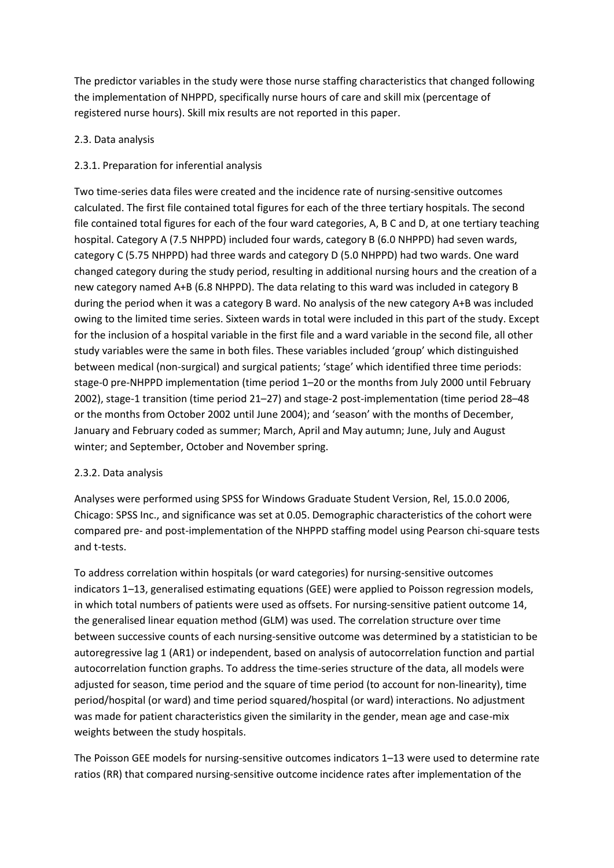The predictor variables in the study were those nurse staffing characteristics that changed following the implementation of NHPPD, specifically nurse hours of care and skill mix (percentage of registered nurse hours). Skill mix results are not reported in this paper.

## 2.3. Data analysis

## 2.3.1. Preparation for inferential analysis

Two time-series data files were created and the incidence rate of nursing-sensitive outcomes calculated. The first file contained total figures for each of the three tertiary hospitals. The second file contained total figures for each of the four ward categories, A, B C and D, at one tertiary teaching hospital. Category A (7.5 NHPPD) included four wards, category B (6.0 NHPPD) had seven wards, category C (5.75 NHPPD) had three wards and category D (5.0 NHPPD) had two wards. One ward changed category during the study period, resulting in additional nursing hours and the creation of a new category named A+B (6.8 NHPPD). The data relating to this ward was included in category B during the period when it was a category B ward. No analysis of the new category A+B was included owing to the limited time series. Sixteen wards in total were included in this part of the study. Except for the inclusion of a hospital variable in the first file and a ward variable in the second file, all other study variables were the same in both files. These variables included 'group' which distinguished between medical (non-surgical) and surgical patients; 'stage' which identified three time periods: stage-0 pre-NHPPD implementation (time period 1–20 or the months from July 2000 until February 2002), stage-1 transition (time period 21–27) and stage-2 post-implementation (time period 28–48 or the months from October 2002 until June 2004); and 'season' with the months of December, January and February coded as summer; March, April and May autumn; June, July and August winter; and September, October and November spring.

## 2.3.2. Data analysis

Analyses were performed using SPSS for Windows Graduate Student Version, Rel, 15.0.0 2006, Chicago: SPSS Inc., and significance was set at 0.05. Demographic characteristics of the cohort were compared pre- and post-implementation of the NHPPD staffing model using Pearson chi-square tests and t-tests.

To address correlation within hospitals (or ward categories) for nursing-sensitive outcomes indicators 1–13, generalised estimating equations (GEE) were applied to Poisson regression models, in which total numbers of patients were used as offsets. For nursing-sensitive patient outcome 14, the generalised linear equation method (GLM) was used. The correlation structure over time between successive counts of each nursing-sensitive outcome was determined by a statistician to be autoregressive lag 1 (AR1) or independent, based on analysis of autocorrelation function and partial autocorrelation function graphs. To address the time-series structure of the data, all models were adjusted for season, time period and the square of time period (to account for non-linearity), time period/hospital (or ward) and time period squared/hospital (or ward) interactions. No adjustment was made for patient characteristics given the similarity in the gender, mean age and case-mix weights between the study hospitals.

The Poisson GEE models for nursing-sensitive outcomes indicators 1–13 were used to determine rate ratios (RR) that compared nursing-sensitive outcome incidence rates after implementation of the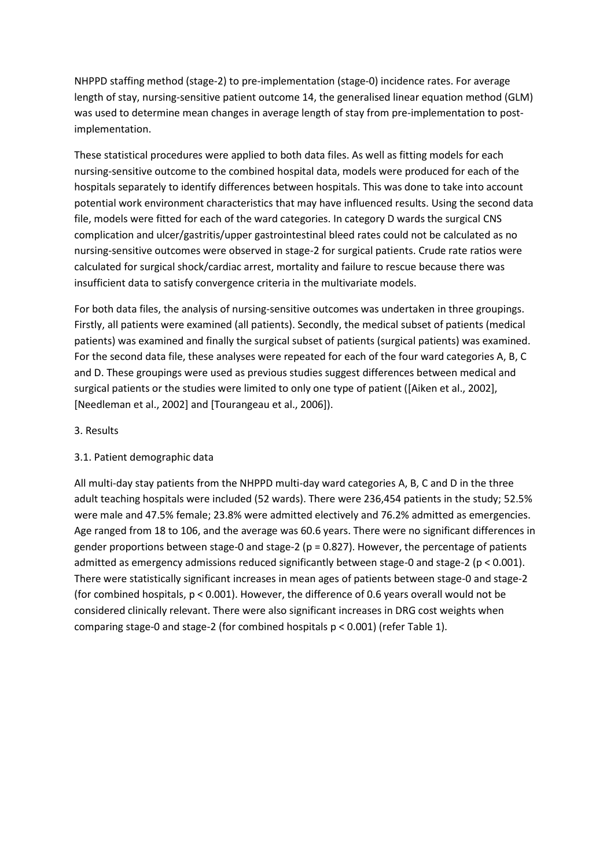NHPPD staffing method (stage-2) to pre-implementation (stage-0) incidence rates. For average length of stay, nursing-sensitive patient outcome 14, the generalised linear equation method (GLM) was used to determine mean changes in average length of stay from pre-implementation to postimplementation.

These statistical procedures were applied to both data files. As well as fitting models for each nursing-sensitive outcome to the combined hospital data, models were produced for each of the hospitals separately to identify differences between hospitals. This was done to take into account potential work environment characteristics that may have influenced results. Using the second data file, models were fitted for each of the ward categories. In category D wards the surgical CNS complication and ulcer/gastritis/upper gastrointestinal bleed rates could not be calculated as no nursing-sensitive outcomes were observed in stage-2 for surgical patients. Crude rate ratios were calculated for surgical shock/cardiac arrest, mortality and failure to rescue because there was insufficient data to satisfy convergence criteria in the multivariate models.

For both data files, the analysis of nursing-sensitive outcomes was undertaken in three groupings. Firstly, all patients were examined (all patients). Secondly, the medical subset of patients (medical patients) was examined and finally the surgical subset of patients (surgical patients) was examined. For the second data file, these analyses were repeated for each of the four ward categories A, B, C and D. These groupings were used as previous studies suggest differences between medical and surgical patients or the studies were limited to only one type of patient [\(\[Aiken et al., 2002\],](http://www.sciencedirect.com/science/article/pii/S0020748910002415#bib0015) [\[Needleman et al., 2002\]](http://www.sciencedirect.com/science/article/pii/S0020748910002415#bib0140) an[d \[Tourangeau et al., 2006\]\)](http://www.sciencedirect.com/science/article/pii/S0020748910002415#bib0170).

#### 3. Results

## 3.1. Patient demographic data

All multi-day stay patients from the NHPPD multi-day ward categories A, B, C and D in the three adult teaching hospitals were included (52 wards). There were 236,454 patients in the study; 52.5% were male and 47.5% female; 23.8% were admitted electively and 76.2% admitted as emergencies. Age ranged from 18 to 106, and the average was 60.6 years. There were no significant differences in gender proportions between stage-0 and stage-2 ( $p = 0.827$ ). However, the percentage of patients admitted as emergency admissions reduced significantly between stage-0 and stage-2 (p < 0.001). There were statistically significant increases in mean ages of patients between stage-0 and stage-2 (for combined hospitals, p < 0.001). However, the difference of 0.6 years overall would not be considered clinically relevant. There were also significant increases in DRG cost weights when comparing stage-0 and stage-2 (for combined hospitals p < 0.001) (refer [Table 1\)](http://www.sciencedirect.com/science/article/pii/S0020748910002415#tbl0005).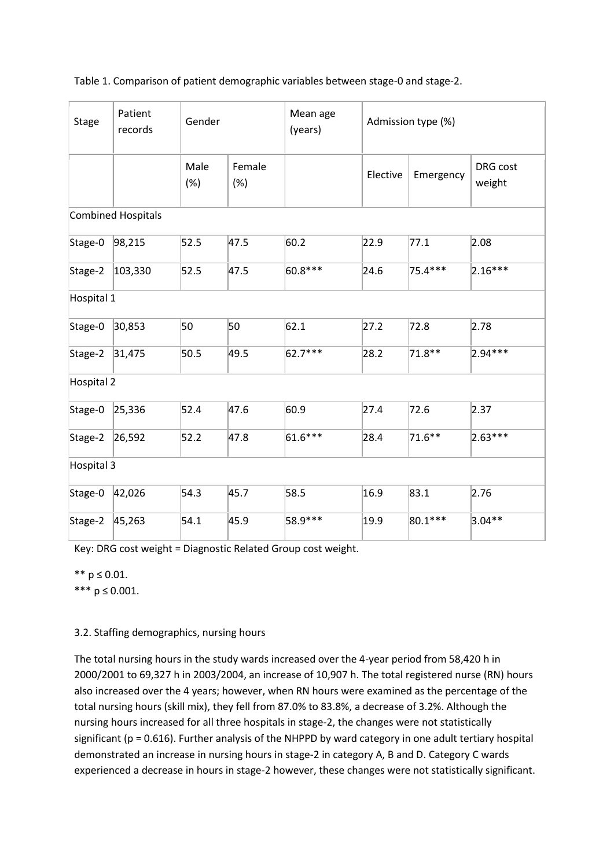| <b>Stage</b>      | Patient<br>records        | Gender      |               | Mean age<br>(years) | Admission type (%) |           |                    |
|-------------------|---------------------------|-------------|---------------|---------------------|--------------------|-----------|--------------------|
|                   |                           | Male<br>(%) | Female<br>(%) |                     | Elective           | Emergency | DRG cost<br>weight |
|                   | <b>Combined Hospitals</b> |             |               |                     |                    |           |                    |
| Stage-0           | 98,215                    | 52.5        | 47.5          | 60.2                | 22.9               | 77.1      | 2.08               |
| Stage-2           | 103,330                   | 52.5        | 47.5          | 60.8***             | 24.6               | 75.4 ***  | $2.16***$          |
| Hospital 1        |                           |             |               |                     |                    |           |                    |
| Stage-0           | 30,853                    | 50          | 50            | 62.1                | 27.2               | 72.8      | 2.78               |
| Stage-2           | 31,475                    | 50.5        | 49.5          | 62.7***             | 28.2               | 71.8**    | 2.94***            |
| <b>Hospital 2</b> |                           |             |               |                     |                    |           |                    |
| Stage-0           | 25,336                    | 52.4        | 47.6          | 60.9                | 27.4               | 72.6      | 2.37               |
| Stage-2           | 26,592                    | 52.2        | 47.8          | 61.6***             | 28.4               | 71.6**    | 2.63***            |
| Hospital 3        |                           |             |               |                     |                    |           |                    |
| Stage-0           | 42,026                    | 54.3        | 45.7          | 58.5                | 16.9               | 83.1      | 2.76               |
| Stage-2           | 45,263                    | 54.1        | 45.9          | 58.9 ***            | 19.9               | 80.1 ***  | $3.04**$           |

Key: DRG cost weight = Diagnostic Related Group cost weight.

\*\* p ≤ 0.01.

\*\*\*  $p \le 0.001$ .

## 3.2. Staffing demographics, nursing hours

The total nursing hours in the study wards increased over the 4-year period from 58,420 h in 2000/2001 to 69,327 h in 2003/2004, an increase of 10,907 h. The total registered nurse (RN) hours also increased over the 4 years; however, when RN hours were examined as the percentage of the total nursing hours (skill mix), they fell from 87.0% to 83.8%, a decrease of 3.2%. Although the nursing hours increased for all three hospitals in stage-2, the changes were not statistically significant (p = 0.616). Further analysis of the NHPPD by ward category in one adult tertiary hospital demonstrated an increase in nursing hours in stage-2 in category A, B and D. Category C wards experienced a decrease in hours in stage-2 however, these changes were not statistically significant.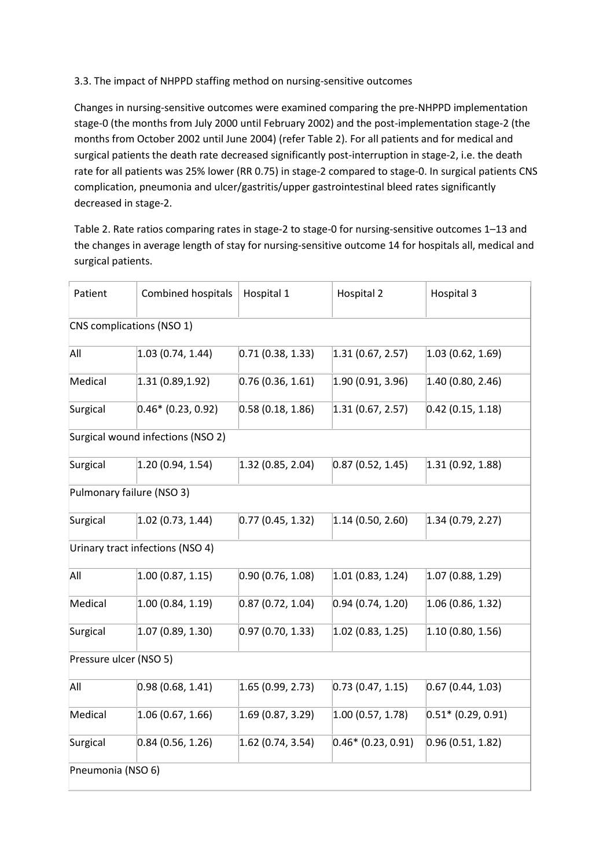## 3.3. The impact of NHPPD staffing method on nursing-sensitive outcomes

Changes in nursing-sensitive outcomes were examined comparing the pre-NHPPD implementation stage-0 (the months from July 2000 until February 2002) and the post-implementation stage-2 (the months from October 2002 until June 2004) (refer [Table 2\)](http://www.sciencedirect.com/science/article/pii/S0020748910002415#tbl0010). For all patients and for medical and surgical patients the death rate decreased significantly post-interruption in stage-2, i.e. the death rate for all patients was 25% lower (RR 0.75) in stage-2 compared to stage-0. In surgical patients CNS complication, pneumonia and ulcer/gastritis/upper gastrointestinal bleed rates significantly decreased in stage-2.

Table 2. Rate ratios comparing rates in stage-2 to stage-0 for nursing-sensitive outcomes 1–13 and the changes in average length of stay for nursing-sensitive outcome 14 for hospitals all, medical and surgical patients.

| Patient                | <b>Combined hospitals</b>         | Hospital 1          | Hospital 2           | Hospital 3           |
|------------------------|-----------------------------------|---------------------|----------------------|----------------------|
|                        | CNS complications (NSO 1)         |                     |                      |                      |
| All                    | 1.03(0.74, 1.44)                  | 0.71(0.38, 1.33)    | 1.31(0.67, 2.57)     | 1.03(0.62, 1.69)     |
| Medical                | 1.31(0.89, 1.92)                  | 0.76(0.36, 1.61)    | 1.90 (0.91, 3.96)    | 1.40 (0.80, 2.46)    |
| Surgical               | $0.46*$ (0.23, 0.92)              | 0.58(0.18, 1.86)    | 1.31(0.67, 2.57)     | $0.42$ (0.15, 1.18)  |
|                        | Surgical wound infections (NSO 2) |                     |                      |                      |
| Surgical               | 1.20(0.94, 1.54)                  | 1.32(0.85, 2.04)    | 0.87(0.52, 1.45)     | (1.31(0.92, 1.88))   |
|                        | Pulmonary failure (NSO 3)         |                     |                      |                      |
| Surgical               | 1.02(0.73, 1.44)                  | 0.77(0.45, 1.32)    | 1.14(0.50, 2.60)     | 1.34(0.79, 2.27)     |
|                        | Urinary tract infections (NSO 4)  |                     |                      |                      |
| All                    | 1.00(0.87, 1.15)                  | 0.90(0.76, 1.08)    | 1.01(0.83, 1.24)     | 1.07(0.88, 1.29)     |
| Medical                | (1.00(0.84, 1.19))                | 0.87(0.72, 1.04)    | 0.94(0.74, 1.20)     | 1.06 (0.86, 1.32)    |
| Surgical               | (1.07(0.89, 1.30))                | 0.97(0.70, 1.33)    | 1.02(0.83, 1.25)     | (1.10(0.80, 1.56))   |
| Pressure ulcer (NSO 5) |                                   |                     |                      |                      |
| All                    | 0.98(0.68, 1.41)                  | 1.65(0.99, 2.73)    | [0.73(0.47, 1.15)]   | 0.67(0.44, 1.03)     |
| Medical                | 1.06(0.67, 1.66)                  | 1.69(0.87, 3.29)    | 1.00(0.57, 1.78)     | $0.51*$ (0.29, 0.91) |
| Surgical               | 0.84(0.56, 1.26)                  | $1.62$ (0.74, 3.54) | $0.46*$ (0.23, 0.91) | 0.96(0.51, 1.82)     |
| Pneumonia (NSO 6)      |                                   |                     |                      |                      |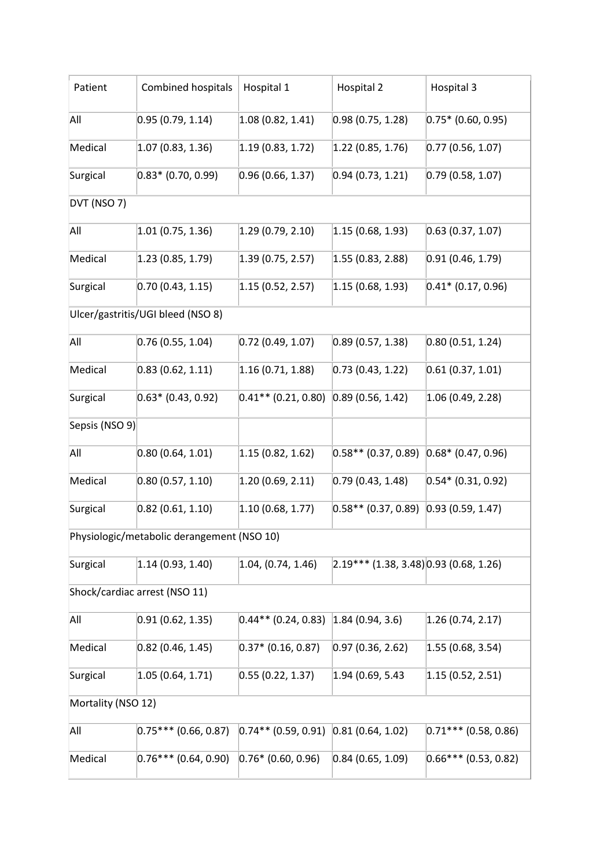| Patient                                    | Combined hospitals                | Hospital 1            | Hospital 2                                    | Hospital 3              |  |  |
|--------------------------------------------|-----------------------------------|-----------------------|-----------------------------------------------|-------------------------|--|--|
| All                                        | 0.95(0.79, 1.14)                  | (1.08(0.82, 1.41))    | 0.98(0.75, 1.28)                              | $0.75*$ (0.60, 0.95)    |  |  |
| Medical                                    | (1.07(0.83, 1.36))                | 1.19(0.83, 1.72)      | 1.22(0.85, 1.76)                              | 0.77(0.56, 1.07)        |  |  |
| Surgical                                   | $0.83*$ (0.70, 0.99)              | 0.96(0.66, 1.37)      | [0.94 (0.73, 1.21)]                           | 0.79(0.58, 1.07)        |  |  |
| DVT (NSO 7)                                |                                   |                       |                                               |                         |  |  |
| All                                        | 1.01(0.75, 1.36)                  | 1.29(0.79, 2.10)      | 1.15(0.68, 1.93)                              | 0.63(0.37, 1.07)        |  |  |
| Medical                                    | (1.23(0.85, 1.79))                | 1.39(0.75, 2.57)      | 1.55(0.83, 2.88)                              | 0.91(0.46, 1.79)        |  |  |
| Surgical                                   | 0.70(0.43, 1.15)                  | 1.15(0.52, 2.57)      | 1.15(0.68, 1.93)                              | $0.41*$ (0.17, 0.96)    |  |  |
|                                            | Ulcer/gastritis/UGI bleed (NSO 8) |                       |                                               |                         |  |  |
| All                                        | 0.76(0.55, 1.04)                  | $0.72$ (0.49, 1.07)   | 0.89(0.57, 1.38)                              | 0.80(0.51, 1.24)        |  |  |
| Medical                                    | 0.83(0.62, 1.11)                  | 1.16(0.71, 1.88)      | 0.73(0.43, 1.22)                              | 0.61(0.37, 1.01)        |  |  |
| Surgical                                   | $0.63*$ (0.43, 0.92)              | $0.41**$ (0.21, 0.80) | 0.89(0.56, 1.42)                              | (1.06(0.49, 2.28))      |  |  |
| Sepsis (NSO 9)                             |                                   |                       |                                               |                         |  |  |
| All                                        | 0.80(0.64, 1.01)                  | 1.15(0.82, 1.62)      | $0.58**$ (0.37, 0.89)                         | $0.68*$ (0.47, 0.96)    |  |  |
| Medical                                    | 0.80(0.57, 1.10)                  | 1.20(0.69, 2.11)      | 0.79(0.43, 1.48)                              | $0.54*(0.31, 0.92)$     |  |  |
| Surgical                                   | 0.82(0.61, 1.10)                  | 1.10(0.68, 1.77)      | $0.58**$ (0.37, 0.89)                         | 0.93(0.59, 1.47)        |  |  |
| Physiologic/metabolic derangement (NSO 10) |                                   |                       |                                               |                         |  |  |
| Surgical                                   | 1.14(0.93, 1.40)                  | (1.04, (0.74, 1.46))  | $(2.19***(1.38, 3.48) \mid 0.93(0.68, 1.26))$ |                         |  |  |
| Shock/cardiac arrest (NSO 11)              |                                   |                       |                                               |                         |  |  |
| All                                        | 0.91(0.62, 1.35)                  | $0.44**$ (0.24, 0.83) | 1.84(0.94, 3.6)                               | (1.26(0.74, 2.17))      |  |  |
| Medical                                    | $0.82$ (0.46, 1.45)               | $0.37*$ (0.16, 0.87)  | 0.97(0.36, 2.62)                              | (1.55(0.68, 3.54))      |  |  |
| Surgical                                   | 1.05(0.64, 1.71)                  | 0.55(0.22, 1.37)      | 1.94 (0.69, 5.43                              | (1.15(0.52, 2.51))      |  |  |
| Mortality (NSO 12)                         |                                   |                       |                                               |                         |  |  |
| All                                        | $0.75***(0.66, 0.87)$             | $0.74**$ (0.59, 0.91) | [0.81(0.64, 1.02)]                            | $0.71***$ (0.58, 0.86)  |  |  |
| Medical                                    | $ 0.76*** 0.64, 0.90\rangle$      | $0.76*$ (0.60, 0.96)  | 0.84(0.65, 1.09)                              | $[0.66***(0.53, 0.82)]$ |  |  |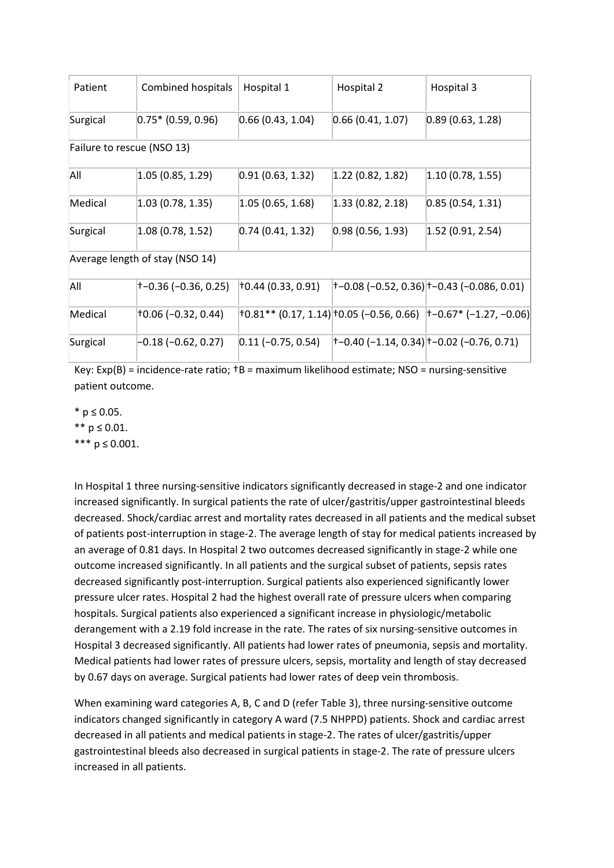| Patient                         | Combined hospitals            | Hospital 1             | Hospital 2         | Hospital 3                                                               |  |  |  |  |
|---------------------------------|-------------------------------|------------------------|--------------------|--------------------------------------------------------------------------|--|--|--|--|
| Surgical                        | $ 0.75*$ (0.59, 0.96)         | [0.66(0.43, 1.04)]     | 0.66(0.41, 1.07)   | 0.89(0.63, 1.28)                                                         |  |  |  |  |
|                                 | Failure to rescue (NSO 13)    |                        |                    |                                                                          |  |  |  |  |
| All                             | (1.05(0.85, 1.29))            | [0.91 (0.63, 1.32)]    | 1.22(0.82, 1.82)   | (1.10(0.78, 1.55))                                                       |  |  |  |  |
| Medical                         | (1.03(0.78, 1.35))            | 1.05(0.65, 1.68)       | (1.33(0.82, 2.18)) | 0.85(0.54, 1.31)                                                         |  |  |  |  |
| Surgical                        | 1.08 (0.78, 1.52)             | [0.74(0.41, 1.32)]     | 0.98(0.56, 1.93)   | (1.52(0.91, 2.54))                                                       |  |  |  |  |
| Average length of stay (NSO 14) |                               |                        |                    |                                                                          |  |  |  |  |
| All                             | +-0.36 (-0.36, 0.25)          | 10.44(0.33, 0.91)      |                    | +-0.08 (-0.52, 0.36) +-0.43 (-0.086, 0.01)                               |  |  |  |  |
| Medical                         | $\uparrow$ 0.06 (-0.32, 0.44) |                        |                    | $ 10.81**$ (0.17, 1.14) $ 10.05$ (-0.56, 0.66) $ 1-0.67*$ (-1.27, -0.06) |  |  |  |  |
| Surgical                        | $-0.18(-0.62, 0.27)$          | $[0.11 (-0.75, 0.54)]$ |                    | †−0.40 (−1.14, 0.34) †−0.02 (−0.76, 0.71)                                |  |  |  |  |

Key:  $Exp(B)$  = incidence-rate ratio;  $TB$  = maximum likelihood estimate; NSO = nursing-sensitive patient outcome.

\* p ≤ 0.05. \*\* p ≤ 0.01.

\*\*\*  $p \le 0.001$ .

In Hospital 1 three nursing-sensitive indicators significantly decreased in stage-2 and one indicator increased significantly. In surgical patients the rate of ulcer/gastritis/upper gastrointestinal bleeds decreased. Shock/cardiac arrest and mortality rates decreased in all patients and the medical subset of patients post-interruption in stage-2. The average length of stay for medical patients increased by an average of 0.81 days. In Hospital 2 two outcomes decreased significantly in stage-2 while one outcome increased significantly. In all patients and the surgical subset of patients, sepsis rates decreased significantly post-interruption. Surgical patients also experienced significantly lower pressure ulcer rates. Hospital 2 had the highest overall rate of pressure ulcers when comparing hospitals. Surgical patients also experienced a significant increase in physiologic/metabolic derangement with a 2.19 fold increase in the rate. The rates of six nursing-sensitive outcomes in Hospital 3 decreased significantly. All patients had lower rates of pneumonia, sepsis and mortality. Medical patients had lower rates of pressure ulcers, sepsis, mortality and length of stay decreased by 0.67 days on average. Surgical patients had lower rates of deep vein thrombosis.

When examining ward categories A, B, C and D (refer [Table 3\)](http://www.sciencedirect.com/science/article/pii/S0020748910002415#tbl0015), three nursing-sensitive outcome indicators changed significantly in category A ward (7.5 NHPPD) patients. Shock and cardiac arrest decreased in all patients and medical patients in stage-2. The rates of ulcer/gastritis/upper gastrointestinal bleeds also decreased in surgical patients in stage-2. The rate of pressure ulcers increased in all patients.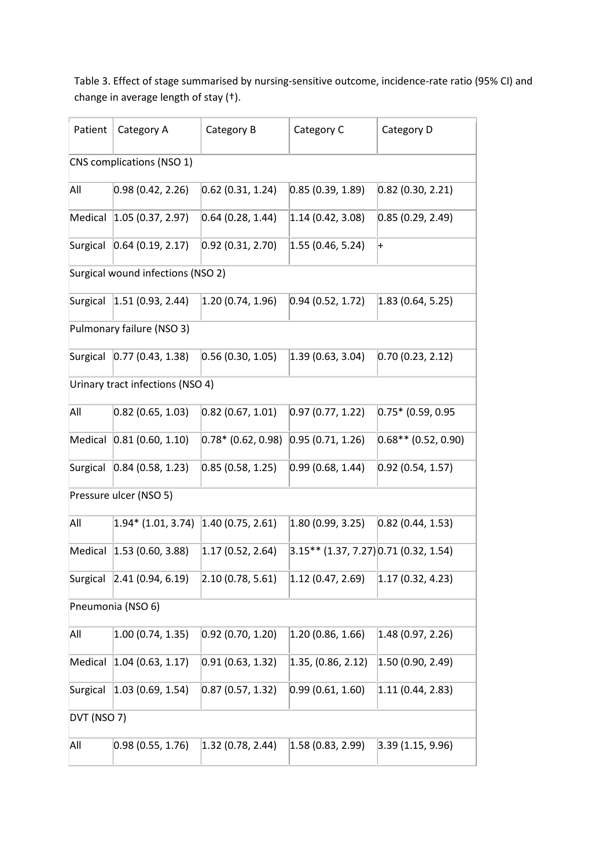Table 3. Effect of stage summarised by nursing-sensitive outcome, incidence-rate ratio (95% CI) and change in average length of stay (†).

| Patient                   | Category A                             | Category B                           | Category C                                | Category D            |  |  |
|---------------------------|----------------------------------------|--------------------------------------|-------------------------------------------|-----------------------|--|--|
| CNS complications (NSO 1) |                                        |                                      |                                           |                       |  |  |
| All                       | [0.98(0.42, 2.26)]                     | [0.62 (0.31, 1.24)]                  | 0.85(0.39, 1.89)                          | $0.82$ (0.30, 2.21)   |  |  |
|                           | Medical 1.05 (0.37, 2.97)              | 0.64(0.28, 1.44)                     | 1.14(0.42, 3.08)                          | 0.85(0.29, 2.49)      |  |  |
|                           | Surgical 0.64 (0.19, 2.17)             | [0.92 (0.31, 2.70)]                  | 1.55(0.46, 5.24)                          | $\left  + \right $    |  |  |
|                           | Surgical wound infections (NSO 2)      |                                      |                                           |                       |  |  |
|                           | Surgical 1.51 (0.93, 2.44)             | $\vert 1.20\vert (0.74, 1.96) \vert$ | 0.94(0.52, 1.72)                          | 1.83(0.64, 5.25)      |  |  |
|                           | Pulmonary failure (NSO 3)              |                                      |                                           |                       |  |  |
|                           | Surgical 0.77 (0.43, 1.38)             | 0.56(0.30, 1.05)                     | $\vert 1.39 \vert 0.63, 3.04 \vert$       | 0.70(0.23, 2.12)      |  |  |
|                           | Urinary tract infections (NSO 4)       |                                      |                                           |                       |  |  |
| All                       | $ 0.82\rangle$ (0.65, 1.03)            | [0.82 (0.67, 1.01)]                  | [0.97(0.77, 1.22)]                        | $0.75*$ (0.59, 0.95   |  |  |
|                           | Medical 0.81 (0.60, 1.10)              | $[0.78* (0.62, 0.98)]$               | [0.95(0.71, 1.26)]                        | $0.68**$ (0.52, 0.90) |  |  |
|                           | Surgical 0.84 (0.58, 1.23)             | [0.85(0.58, 1.25)]                   | [0.99(0.68, 1.44)]                        | 0.92(0.54, 1.57)      |  |  |
|                           | Pressure ulcer (NSO 5)                 |                                      |                                           |                       |  |  |
| All                       | $1.94*$ (1.01, 3.74) 1.40 (0.75, 2.61) |                                      | $\vert 1.80\, (0.99, 3.25) \vert$         | 0.82(0.44, 1.53)      |  |  |
|                           | Medical 1.53 (0.60, 3.88)              | $\vert 1.17\, (0.52, 2.64) \vert$    | $(3.15** (1.37, 7.27) 0.71 (0.32, 1.54))$ |                       |  |  |
|                           | Surgical 2.41 (0.94, 6.19)             | $\vert 2.10\, (0.78, 5.61) \vert$    | $ 1.12\rangle (0.47, 2.69\rangle$         | 1.17(0.32, 4.23)      |  |  |
| Pneumonia (NSO 6)         |                                        |                                      |                                           |                       |  |  |
| All                       | (1.00(0.74, 1.35))                     | [0.92 (0.70, 1.20)]                  | 1.20(0.86, 1.66)                          | 1.48 (0.97, 2.26)     |  |  |
| Medical                   | 1.04(0.63, 1.17)                       | 0.91(0.63, 1.32)                     | 1.35, (0.86, 2.12)                        | (1.50(0.90, 2.49))    |  |  |
| Surgical                  | 1.03(0.69, 1.54)                       | 0.87(0.57, 1.32)                     | 0.99(0.61, 1.60)                          | 1.11 (0.44, 2.83)     |  |  |
| DVT (NSO 7)               |                                        |                                      |                                           |                       |  |  |
| All                       | 0.98(0.55, 1.76)                       | 1.32(0.78, 2.44)                     | 1.58(0.83, 2.99)                          | 3.39(1.15, 9.96)      |  |  |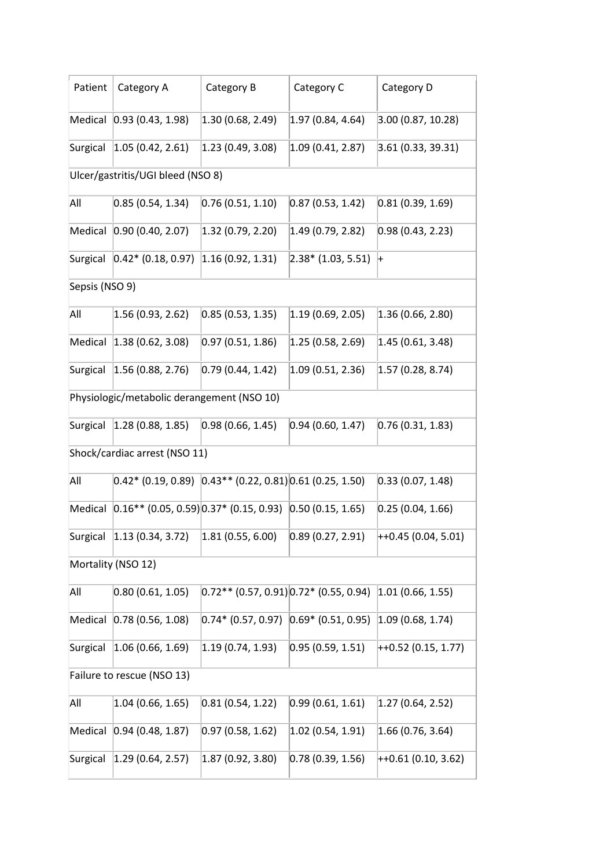| Patient                           | Category A                                                                                | Category B                                   | Category C                            | Category D                                                            |  |  |  |
|-----------------------------------|-------------------------------------------------------------------------------------------|----------------------------------------------|---------------------------------------|-----------------------------------------------------------------------|--|--|--|
|                                   | Medical 0.93 (0.43, 1.98)                                                                 | $\vert 1.30 \vert 0.68, 2.49 \rangle$        | $\vert 1.97\, (0.84, 4.64) \vert$     | 3.00(0.87, 10.28)                                                     |  |  |  |
|                                   | Surgical 1.05 (0.42, 2.61)                                                                | $\vert 1.23 \vert (0.49, 3.08) \vert$        | 1.09(0.41, 2.87)                      | 3.61(0.33, 39.31)                                                     |  |  |  |
| Ulcer/gastritis/UGI bleed (NSO 8) |                                                                                           |                                              |                                       |                                                                       |  |  |  |
| All                               | [0.85(0.54, 1.34)]                                                                        | [0.76(0.51, 1.10)]                           | [0.87(0.53, 1.42)]                    | 0.81(0.39, 1.69)                                                      |  |  |  |
|                                   | Medical 0.90 (0.40, 2.07)                                                                 | $\vert 1.32 \vert (0.79, 2.20) \vert$        | $\vert 1.49 \vert (0.79, 2.82) \vert$ | 0.98(0.43, 2.23)                                                      |  |  |  |
|                                   | Surgical 0.42* (0.18, 0.97) 1.16 (0.92, 1.31)                                             |                                              | $\vert 2.38^*$ (1.03, 5.51)           | $\left  + \right\rangle$                                              |  |  |  |
| Sepsis (NSO 9)                    |                                                                                           |                                              |                                       |                                                                       |  |  |  |
| All                               | 1.56(0.93, 2.62)                                                                          | [0.85(0.53, 1.35)]                           | $\vert 1.19 \vert (0.69, 2.05) \vert$ | 1.36(0.66, 2.80)                                                      |  |  |  |
|                                   | Medical  1.38 (0.62, 3.08)                                                                | 0.97(0.51, 1.86)                             | 1.25(0.58, 2.69)                      | 1.45(0.61, 3.48)                                                      |  |  |  |
|                                   | Surgical 1.56 (0.88, 2.76)                                                                | [0.79(0.44, 1.42)]                           | 1.09(0.51, 2.36)                      | 1.57(0.28, 8.74)                                                      |  |  |  |
|                                   | Physiologic/metabolic derangement (NSO 10)                                                |                                              |                                       |                                                                       |  |  |  |
| Surgical                          | $\vert 1.28 \vert 0.88, 1.85 \vert$                                                       | 0.98(0.66, 1.45)                             | [0.94 (0.60, 1.47)]                   | 0.76(0.31, 1.83)                                                      |  |  |  |
| Shock/cardiac arrest (NSO 11)     |                                                                                           |                                              |                                       |                                                                       |  |  |  |
| All                               | $[0.42*(0.19, 0.89)$ $[0.43**(0.22, 0.81)]0.61$ (0.25, 1.50)                              |                                              |                                       | 0.33(0.07, 1.48)                                                      |  |  |  |
|                                   | Medical $\vert 0.16***$ (0.05, 0.59) $\vert 0.37*$ (0.15, 0.93) $\vert 0.50$ (0.15, 1.65) |                                              |                                       | 0.25(0.04, 1.66)                                                      |  |  |  |
|                                   | Surgical 2.13 (0.34, 3.72) 2.81 (0.55, 6.00)                                              |                                              |                                       | $\vert 0.89 \vert (0.27, 2.91) \vert +10.45 \vert (0.04, 5.01) \vert$ |  |  |  |
| Mortality (NSO 12)                |                                                                                           |                                              |                                       |                                                                       |  |  |  |
| All                               | 0.80(0.61, 1.05)                                                                          | $[0.72**(0.57, 0.91)]0.72* (0.55, 0.94)$     |                                       | 1.01(0.66, 1.55)                                                      |  |  |  |
| Medical                           | 0.78(0.56, 1.08)                                                                          | $[0.74* (0.57, 0.97)$ $[0.69* (0.51, 0.95)]$ |                                       | 1.09(0.68, 1.74)                                                      |  |  |  |
| Surgical                          | 1.06(0.66, 1.69)                                                                          | 1.19(0.74, 1.93)                             | [0.95(0.59, 1.51)]                    | $ +0.52(0.15, 1.77) $                                                 |  |  |  |
| Failure to rescue (NSO 13)        |                                                                                           |                                              |                                       |                                                                       |  |  |  |
| All                               | $ 1.04\rangle$ (0.66, 1.65)                                                               | [0.81(0.54, 1.22)]                           | [0.99(0.61, 1.61)]                    | 1.27(0.64, 2.52)                                                      |  |  |  |
| Medical                           | [0.94 (0.48, 1.87)]                                                                       | [0.97(0.58, 1.62)]                           | $ 1.02\rangle$ (0.54, 1.91)           | (1.66(0.76, 3.64))                                                    |  |  |  |
| Surgical                          | $\vert 1.29 \vert (0.64, 2.57) \vert$                                                     | 1.87(0.92, 3.80)                             | [0.78(0.39, 1.56)]                    | $ +0.61(0.10, 3.62) $                                                 |  |  |  |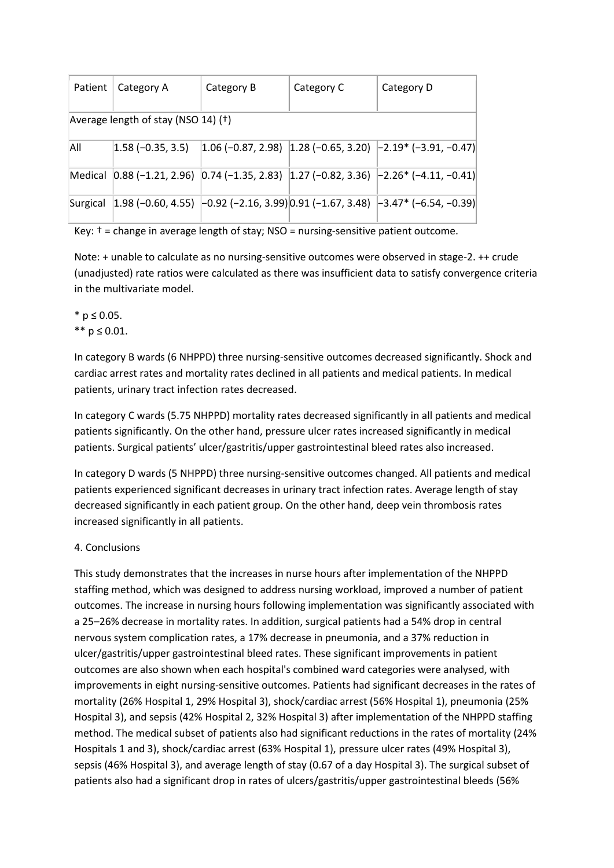| Patient                             | Category A           | Category B | Category C | Category D                                                                                                                                                      |  |  |  |
|-------------------------------------|----------------------|------------|------------|-----------------------------------------------------------------------------------------------------------------------------------------------------------------|--|--|--|
| Average length of stay (NSO 14) (†) |                      |            |            |                                                                                                                                                                 |  |  |  |
| All                                 | $ 1.58$ (-0.35, 3.5) |            |            | $\vert 1.06$ (-0.87, 2.98) $\vert 1.28$ (-0.65, 3.20) $\vert$ -2.19* (-3.91, -0.47)                                                                             |  |  |  |
|                                     |                      |            |            | Medical $\left[0.88(-1.21, 2.96) \right]$ $\left[0.74(-1.35, 2.83) \right]$ $\left[1.27(-0.82, 3.36) \right]$ $\left[-2.26 \right]$ $\left[-4.11, -0.41\right]$ |  |  |  |
| Surgical                            |                      |            |            | $\vert 1.98 \, (-0.60, 4.55) \, \vert -0.92 \, (-2.16, 3.99) \vert 0.91 \, (-1.67, 3.48) \, \vert -3.47^* \, (-6.54, -0.39) \vert$                              |  |  |  |

Key:  $t =$  change in average length of stay; NSO = nursing-sensitive patient outcome.

Note: + unable to calculate as no nursing-sensitive outcomes were observed in stage-2. ++ crude (unadjusted) rate ratios were calculated as there was insufficient data to satisfy convergence criteria in the multivariate model.

\* p ≤ 0.05.  $*$  *n* ≤ 0.01.

In category B wards (6 NHPPD) three nursing-sensitive outcomes decreased significantly. Shock and cardiac arrest rates and mortality rates declined in all patients and medical patients. In medical patients, urinary tract infection rates decreased.

In category C wards (5.75 NHPPD) mortality rates decreased significantly in all patients and medical patients significantly. On the other hand, pressure ulcer rates increased significantly in medical patients. Surgical patients' ulcer/gastritis/upper gastrointestinal bleed rates also increased.

In category D wards (5 NHPPD) three nursing-sensitive outcomes changed. All patients and medical patients experienced significant decreases in urinary tract infection rates. Average length of stay decreased significantly in each patient group. On the other hand, deep vein thrombosis rates increased significantly in all patients.

# 4. Conclusions

This study demonstrates that the increases in nurse hours after implementation of the NHPPD staffing method, which was designed to address nursing workload, improved a number of patient outcomes. The increase in nursing hours following implementation was significantly associated with a 25–26% decrease in mortality rates. In addition, surgical patients had a 54% drop in central nervous system complication rates, a 17% decrease in pneumonia, and a 37% reduction in ulcer/gastritis/upper gastrointestinal bleed rates. These significant improvements in patient outcomes are also shown when each hospital's combined ward categories were analysed, with improvements in eight nursing-sensitive outcomes. Patients had significant decreases in the rates of mortality (26% Hospital 1, 29% Hospital 3), shock/cardiac arrest (56% Hospital 1), pneumonia (25% Hospital 3), and sepsis (42% Hospital 2, 32% Hospital 3) after implementation of the NHPPD staffing method. The medical subset of patients also had significant reductions in the rates of mortality (24% Hospitals 1 and 3), shock/cardiac arrest (63% Hospital 1), pressure ulcer rates (49% Hospital 3), sepsis (46% Hospital 3), and average length of stay (0.67 of a day Hospital 3). The surgical subset of patients also had a significant drop in rates of ulcers/gastritis/upper gastrointestinal bleeds (56%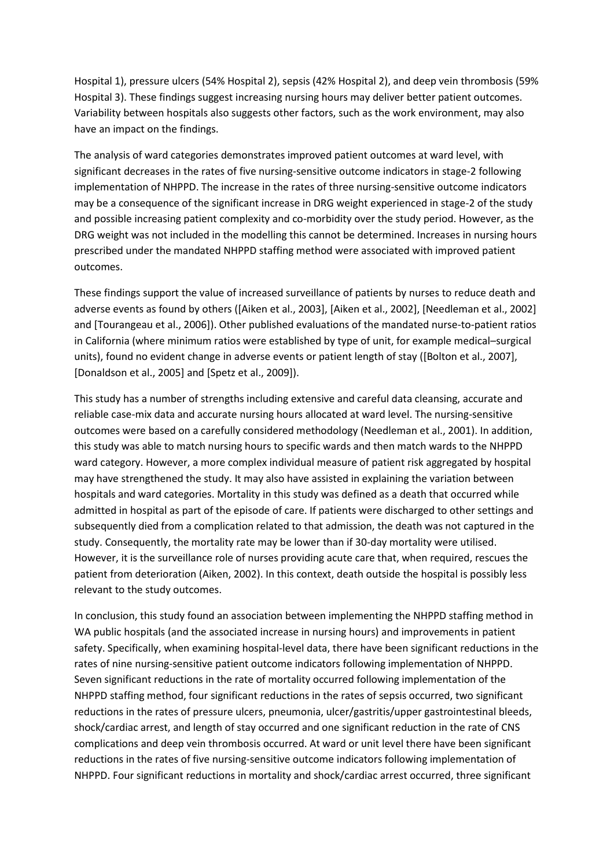Hospital 1), pressure ulcers (54% Hospital 2), sepsis (42% Hospital 2), and deep vein thrombosis (59% Hospital 3). These findings suggest increasing nursing hours may deliver better patient outcomes. Variability between hospitals also suggests other factors, such as the work environment, may also have an impact on the findings.

The analysis of ward categories demonstrates improved patient outcomes at ward level, with significant decreases in the rates of five nursing-sensitive outcome indicators in stage-2 following implementation of NHPPD. The increase in the rates of three nursing-sensitive outcome indicators may be a consequence of the significant increase in DRG weight experienced in stage-2 of the study and possible increasing patient complexity and co-morbidity over the study period. However, as the DRG weight was not included in the modelling this cannot be determined. Increases in nursing hours prescribed under the mandated NHPPD staffing method were associated with improved patient outcomes.

These findings support the value of increased surveillance of patients by nurses to reduce death and adverse events as found by others [\(\[Aiken et al., 2003\],](http://www.sciencedirect.com/science/article/pii/S0020748910002415#bib0010) [\[Aiken et al., 2002\],](http://www.sciencedirect.com/science/article/pii/S0020748910002415#bib0015) [\[Needleman et al., 2002\]](http://www.sciencedirect.com/science/article/pii/S0020748910002415#bib0140) and [\[Tourangeau et al., 2006\]\)](http://www.sciencedirect.com/science/article/pii/S0020748910002415#bib0170). Other published evaluations of the mandated nurse-to-patient ratios in California (where minimum ratios were established by type of unit, for example medical–surgical units), found no evident change in adverse events or patient length of stay [\(\[Bolton et al., 2007\],](http://www.sciencedirect.com/science/article/pii/S0020748910002415#bib0035) [\[Donaldson et al., 2005\]](http://www.sciencedirect.com/science/article/pii/S0020748910002415#bib0065) an[d \[Spetz et al., 2009\]\)](http://www.sciencedirect.com/science/article/pii/S0020748910002415#bib0165).

This study has a number of strengths including extensive and careful data cleansing, accurate and reliable case-mix data and accurate nursing hours allocated at ward level. The nursing-sensitive outcomes were based on a carefully considered methodology [\(Needleman et al., 2001\)](http://www.sciencedirect.com/science/article/pii/S0020748910002415#bib0145). In addition, this study was able to match nursing hours to specific wards and then match wards to the NHPPD ward category. However, a more complex individual measure of patient risk aggregated by hospital may have strengthened the study. It may also have assisted in explaining the variation between hospitals and ward categories. Mortality in this study was defined as a death that occurred while admitted in hospital as part of the episode of care. If patients were discharged to other settings and subsequently died from a complication related to that admission, the death was not captured in the study. Consequently, the mortality rate may be lower than if 30-day mortality were utilised. However, it is the surveillance role of nurses providing acute care that, when required, rescues the patient from deterioration [\(Aiken, 2002\)](http://www.sciencedirect.com/science/article/pii/S0020748910002415#bib0005). In this context, death outside the hospital is possibly less relevant to the study outcomes.

In conclusion, this study found an association between implementing the NHPPD staffing method in WA public hospitals (and the associated increase in nursing hours) and improvements in patient safety. Specifically, when examining hospital-level data, there have been significant reductions in the rates of nine nursing-sensitive patient outcome indicators following implementation of NHPPD. Seven significant reductions in the rate of mortality occurred following implementation of the NHPPD staffing method, four significant reductions in the rates of sepsis occurred, two significant reductions in the rates of pressure ulcers, pneumonia, ulcer/gastritis/upper gastrointestinal bleeds, shock/cardiac arrest, and length of stay occurred and one significant reduction in the rate of CNS complications and deep vein thrombosis occurred. At ward or unit level there have been significant reductions in the rates of five nursing-sensitive outcome indicators following implementation of NHPPD. Four significant reductions in mortality and shock/cardiac arrest occurred, three significant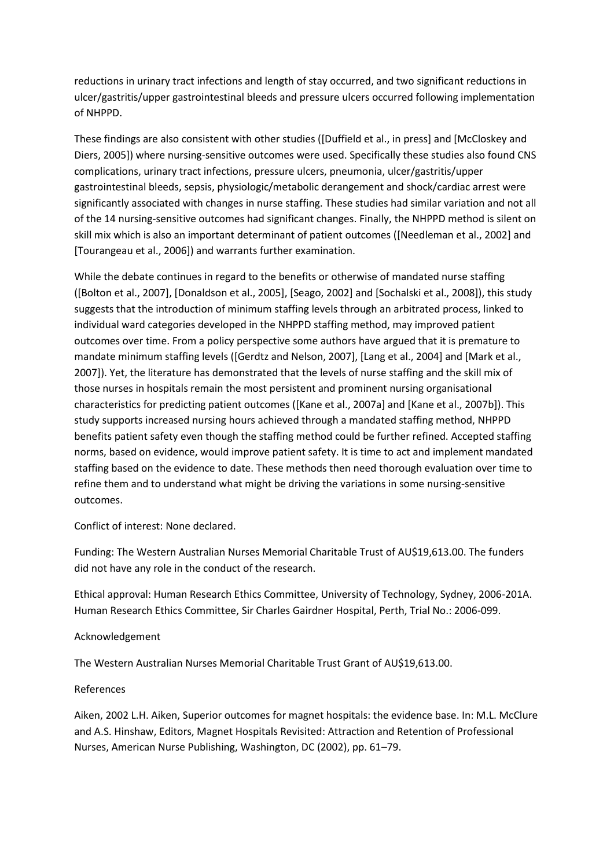reductions in urinary tract infections and length of stay occurred, and two significant reductions in ulcer/gastritis/upper gastrointestinal bleeds and pressure ulcers occurred following implementation of NHPPD.

These findings are also consistent with other studies [\(\[Duffield et al., in press\]](http://www.sciencedirect.com/science/article/pii/S0020748910002415#bib0070) and [\[McCloskey and](http://www.sciencedirect.com/science/article/pii/S0020748910002415#bib0135)  [Diers, 2005\]\)](http://www.sciencedirect.com/science/article/pii/S0020748910002415#bib0135) where nursing-sensitive outcomes were used. Specifically these studies also found CNS complications, urinary tract infections, pressure ulcers, pneumonia, ulcer/gastritis/upper gastrointestinal bleeds, sepsis, physiologic/metabolic derangement and shock/cardiac arrest were significantly associated with changes in nurse staffing. These studies had similar variation and not all of the 14 nursing-sensitive outcomes had significant changes. Finally, the NHPPD method is silent on skill mix which is also an important determinant of patient outcomes [\(\[Needleman et al., 2002\]](http://www.sciencedirect.com/science/article/pii/S0020748910002415#bib0140) and [\[Tourangeau et al., 2006\]\)](http://www.sciencedirect.com/science/article/pii/S0020748910002415#bib0170) and warrants further examination.

While the debate continues in regard to the benefits or otherwise of mandated nurse staffing [\(\[Bolton et al., 2007\],](http://www.sciencedirect.com/science/article/pii/S0020748910002415#bib0035) [\[Donaldson et al., 2005\],](http://www.sciencedirect.com/science/article/pii/S0020748910002415#bib0065) [\[Seago, 2002\]](http://www.sciencedirect.com/science/article/pii/S0020748910002415#bib0155) and [\[Sochalski et al., 2008\]\)](http://www.sciencedirect.com/science/article/pii/S0020748910002415#bib0160), this study suggests that the introduction of minimum staffing levels through an arbitrated process, linked to individual ward categories developed in the NHPPD staffing method, may improved patient outcomes over time. From a policy perspective some authors have argued that it is premature to mandate minimum staffing levels [\(\[Gerdtz and Nelson, 2007\],](http://www.sciencedirect.com/science/article/pii/S0020748910002415#bib0085) [\[Lang et al., 2004\]](http://www.sciencedirect.com/science/article/pii/S0020748910002415#bib0115) and [\[Mark et al.,](http://www.sciencedirect.com/science/article/pii/S0020748910002415#bib0120)  [2007\]\)](http://www.sciencedirect.com/science/article/pii/S0020748910002415#bib0120). Yet, the literature has demonstrated that the levels of nurse staffing and the skill mix of those nurses in hospitals remain the most persistent and prominent nursing organisational characteristics for predicting patient outcomes [\(\[Kane et al., 2007a\]](http://www.sciencedirect.com/science/article/pii/S0020748910002415#bib0105) and [\[Kane et al., 2007b\]\)](http://www.sciencedirect.com/science/article/pii/S0020748910002415#bib0110). This study supports increased nursing hours achieved through a mandated staffing method, NHPPD benefits patient safety even though the staffing method could be further refined. Accepted staffing norms, based on evidence, would improve patient safety. It is time to act and implement mandated staffing based on the evidence to date. These methods then need thorough evaluation over time to refine them and to understand what might be driving the variations in some nursing-sensitive outcomes.

Conflict of interest: None declared.

Funding: The Western Australian Nurses Memorial Charitable Trust of AU\$19,613.00. The funders did not have any role in the conduct of the research.

Ethical approval: Human Research Ethics Committee, University of Technology, Sydney, 2006-201A. Human Research Ethics Committee, Sir Charles Gairdner Hospital, Perth, Trial No.: 2006-099.

#### Acknowledgement

The Western Australian Nurses Memorial Charitable Trust Grant of AU\$19,613.00.

#### References

[Aiken, 2002](http://www.sciencedirect.com/science/article/pii/S0020748910002415#bbib0005) L.H. Aiken, Superior outcomes for magnet hospitals: the evidence base. In: M.L. McClure and A.S. Hinshaw, Editors, Magnet Hospitals Revisited: Attraction and Retention of Professional Nurses, American Nurse Publishing, Washington, DC (2002), pp. 61–79.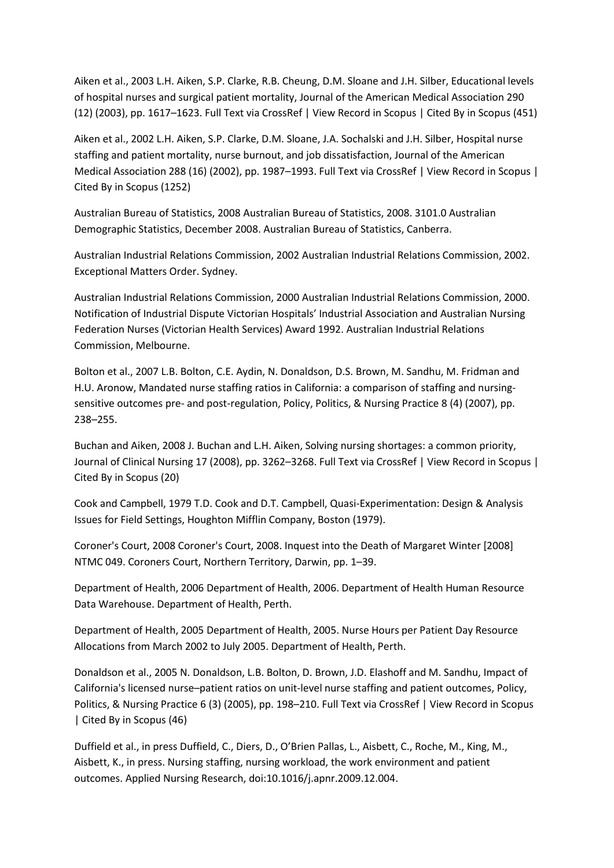[Aiken et al., 2003](http://www.sciencedirect.com/science/article/pii/S0020748910002415#bbib0010) L.H. Aiken, S.P. Clarke, R.B. Cheung, D.M. Sloane and J.H. Silber, Educational levels of hospital nurses and surgical patient mortality, Journal of the American Medical Association 290 (12) (2003), pp. 1617–1623. Full Text [via CrossRef](http://www.sciencedirect.com/science?_ob=RedirectURL&_method=outwardLink&_partnerName=3&_origin=article&_zone=art_page&_targetURL=http%3A%2F%2Fdx.doi.org%2F10.1001%252Fjama.290.12.1617&_acct=C000052520&_version=1&_userid=1385697&md5=78bf8d9d3c467d5fc3dbd40c31e24c41) | [View Record in Scopus](http://www.sciencedirect.com/science?_ob=RedirectURL&_method=outwardLink&_partnerName=655&_origin=article&_zone=art_page&_targetURL=http%3A%2F%2Fwww.scopus.com%2Finward%2Frecord.url%3Feid%3D2-s2.0-0141573545%26partnerID%3D10%26rel%3DR3.0.0%26md5%3Da413ab6b285930cd858b6eb411b66d56&_acct=C000052520&_version=1&_userid=1385697&md5=ca76149b8ca3299fa1052008a832c200) | [Cited By in Scopus \(451\)](http://www.sciencedirect.com/science?_ob=RedirectURL&_method=outwardLink&_partnerName=656&_origin=article&_zone=art_page&_targetURL=http%3A%2F%2Fwww.scopus.com%2Finward%2Fcitedby.url%3Feid%3D2-s2.0-0141573545%26partnerID%3D10%26rel%3DR3.0.0%26md5%3Da413ab6b285930cd858b6eb411b66d56&_acct=C000052520&_version=1&_userid=1385697&md5=bb0848c56fed80c3fd30bdafc4e208fb)

[Aiken et al., 2002](http://www.sciencedirect.com/science/article/pii/S0020748910002415#bbib0015) L.H. Aiken, S.P. Clarke, D.M. Sloane, J.A. Sochalski and J.H. Silber, Hospital nurse staffing and patient mortality, nurse burnout, and job dissatisfaction, Journal of the American Medical Association 288 (16) (2002), pp. 1987–1993. Full Text [via CrossRef](http://www.sciencedirect.com/science?_ob=RedirectURL&_method=outwardLink&_partnerName=3&_origin=article&_zone=art_page&_targetURL=http%3A%2F%2Fdx.doi.org%2F10.1001%252Fjama.288.16.1987&_acct=C000052520&_version=1&_userid=1385697&md5=a20da9b8746d66571bfbe058f1c130c1) | [View Record in Scopus](http://www.sciencedirect.com/science?_ob=RedirectURL&_method=outwardLink&_partnerName=655&_origin=article&_zone=art_page&_targetURL=http%3A%2F%2Fwww.scopus.com%2Finward%2Frecord.url%3Feid%3D2-s2.0-0037164054%26partnerID%3D10%26rel%3DR3.0.0%26md5%3D62cd8bfb7bd194144a6fc45c21e402f5&_acct=C000052520&_version=1&_userid=1385697&md5=615a7e2b5472f18aa795978bb3a16b15) | [Cited By in Scopus \(1252\)](http://www.sciencedirect.com/science?_ob=RedirectURL&_method=outwardLink&_partnerName=656&_origin=article&_zone=art_page&_targetURL=http%3A%2F%2Fwww.scopus.com%2Finward%2Fcitedby.url%3Feid%3D2-s2.0-0037164054%26partnerID%3D10%26rel%3DR3.0.0%26md5%3D62cd8bfb7bd194144a6fc45c21e402f5&_acct=C000052520&_version=1&_userid=1385697&md5=b917ddb5618524873120d915395164ec)

[Australian Bureau of Statistics, 2008](http://www.sciencedirect.com/science/article/pii/S0020748910002415#bbib0020) Australian Bureau of Statistics, 2008. 3101.0 Australian Demographic Statistics, December 2008. Australian Bureau of Statistics, Canberra.

[Australian Industrial Relations Commission, 2002](http://www.sciencedirect.com/science/article/pii/S0020748910002415#bbib0025) Australian Industrial Relations Commission, 2002. Exceptional Matters Order. Sydney.

[Australian Industrial Relations Commission, 2000](http://www.sciencedirect.com/science/article/pii/S0020748910002415#bbib0030) Australian Industrial Relations Commission, 2000. Notification of Industrial Dispute Victorian Hospitals' Industrial Association and Australian Nursing Federation Nurses (Victorian Health Services) Award 1992. Australian Industrial Relations Commission, Melbourne.

[Bolton et al., 2007](http://www.sciencedirect.com/science/article/pii/S0020748910002415#bbib0035) L.B. Bolton, C.E. Aydin, N. Donaldson, D.S. Brown, M. Sandhu, M. Fridman and H.U. Aronow, Mandated nurse staffing ratios in California: a comparison of staffing and nursingsensitive outcomes pre- and post-regulation, Policy, Politics, & Nursing Practice 8 (4) (2007), pp. 238–255.

[Buchan and Aiken, 2008](http://www.sciencedirect.com/science/article/pii/S0020748910002415#bbib0040) J. Buchan and L.H. Aiken, Solving nursing shortages: a common priority, Journal of Clinical Nursing 17 (2008), pp. 3262–3268. Full Text [via CrossRef](http://www.sciencedirect.com/science?_ob=RedirectURL&_method=outwardLink&_partnerName=3&_origin=article&_zone=art_page&_targetURL=http%3A%2F%2Fdx.doi.org%2F10.1111%252Fj.1365-2702.2008.02636.x&_acct=C000052520&_version=1&_userid=1385697&md5=ed96292a69e5758231280d8fb077ae4f) | [View Record in Scopus](http://www.sciencedirect.com/science?_ob=RedirectURL&_method=outwardLink&_partnerName=655&_origin=article&_zone=art_page&_targetURL=http%3A%2F%2Fwww.scopus.com%2Finward%2Frecord.url%3Feid%3D2-s2.0-56149110028%26partnerID%3D10%26rel%3DR3.0.0%26md5%3De600432e77e7f72b0e4a51d823271cce&_acct=C000052520&_version=1&_userid=1385697&md5=6c48b666a5a58137274ead58e69c22b7) | [Cited By in Scopus \(20\)](http://www.sciencedirect.com/science?_ob=RedirectURL&_method=outwardLink&_partnerName=656&_origin=article&_zone=art_page&_targetURL=http%3A%2F%2Fwww.scopus.com%2Finward%2Fcitedby.url%3Feid%3D2-s2.0-56149110028%26partnerID%3D10%26rel%3DR3.0.0%26md5%3De600432e77e7f72b0e4a51d823271cce&_acct=C000052520&_version=1&_userid=1385697&md5=b1c912b883caf36753a8abb3f3b754b2)

[Cook and Campbell, 1979](http://www.sciencedirect.com/science/article/pii/S0020748910002415#bbib0045) T.D. Cook and D.T. Campbell, Quasi-Experimentation: Design & Analysis Issues for Field Settings, Houghton Mifflin Company, Boston (1979).

[Coroner's Court, 2008](http://www.sciencedirect.com/science/article/pii/S0020748910002415#bbib0050) Coroner's Court, 2008. Inquest into the Death of Margaret Winter [2008] NTMC 049. Coroners Court, Northern Territory, Darwin, pp. 1–39.

[Department of Health, 2006](http://www.sciencedirect.com/science/article/pii/S0020748910002415#bbib0055) Department of Health, 2006. Department of Health Human Resource Data Warehouse. Department of Health, Perth.

[Department of Health, 2005](http://www.sciencedirect.com/science/article/pii/S0020748910002415#bbib0060) Department of Health, 2005. Nurse Hours per Patient Day Resource Allocations from March 2002 to July 2005. Department of Health, Perth.

[Donaldson et al., 2005](http://www.sciencedirect.com/science/article/pii/S0020748910002415#bbib0065) N. Donaldson, L.B. Bolton, D. Brown, J.D. Elashoff and M. Sandhu, Impact of California's licensed nurse–patient ratios on unit-level nurse staffing and patient outcomes, Policy, Politics, & Nursing Practice 6 (3) (2005), pp. 198–210. Full Text [via CrossRef](http://www.sciencedirect.com/science?_ob=RedirectURL&_method=outwardLink&_partnerName=3&_origin=article&_zone=art_page&_targetURL=http%3A%2F%2Fdx.doi.org%2F10.1177%252F1527154405280107&_acct=C000052520&_version=1&_userid=1385697&md5=06f21df1e4fd6cb469acb1e72d81c269) [| View Record in Scopus](http://www.sciencedirect.com/science?_ob=RedirectURL&_method=outwardLink&_partnerName=655&_origin=article&_zone=art_page&_targetURL=http%3A%2F%2Fwww.scopus.com%2Finward%2Frecord.url%3Feid%3D2-s2.0-33244470783%26partnerID%3D10%26rel%3DR3.0.0%26md5%3D110558d722ebf6dd54d90b92c04f4481&_acct=C000052520&_version=1&_userid=1385697&md5=b29b805793c1aa0729c34b0b6da64db8) [| Cited By in Scopus \(46\)](http://www.sciencedirect.com/science?_ob=RedirectURL&_method=outwardLink&_partnerName=656&_origin=article&_zone=art_page&_targetURL=http%3A%2F%2Fwww.scopus.com%2Finward%2Fcitedby.url%3Feid%3D2-s2.0-33244470783%26partnerID%3D10%26rel%3DR3.0.0%26md5%3D110558d722ebf6dd54d90b92c04f4481&_acct=C000052520&_version=1&_userid=1385697&md5=ef77dd6dcabd7345175461947c296c04)

[Duffield et al., in press](http://www.sciencedirect.com/science/article/pii/S0020748910002415#bbib0070) Duffield, C., Diers, D., O'Brien Pallas, L., Aisbett, C., Roche, M., King, M., Aisbett, K., in press. Nursing staffing, nursing workload, the work environment and patient outcomes. Applied Nursing Research, [doi:10.1016/j.apnr.2009.12.004.](http://www.sciencedirect.com/science?_ob=RedirectURL&_method=externObjLink&_locator=doi&_issn=00207489&_origin=article&_zone=art_page&_plusSign=%2B&_targetURL=http%253A%252F%252Fdx.doi.org%252F10.1016%252Fj.apnr.2009.12.004)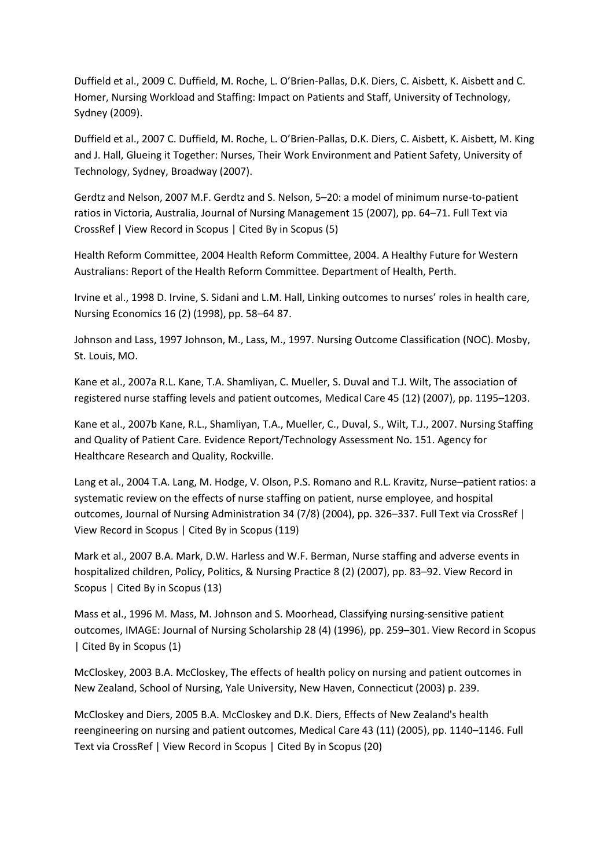[Duffield et al., 2009](http://www.sciencedirect.com/science/article/pii/S0020748910002415#bbib0075) C. Duffield, M. Roche, L. O'Brien-Pallas, D.K. Diers, C. Aisbett, K. Aisbett and C. Homer, Nursing Workload and Staffing: Impact on Patients and Staff, University of Technology, Sydney (2009).

[Duffield et al., 2007](http://www.sciencedirect.com/science/article/pii/S0020748910002415#bbib0080) C. Duffield, M. Roche, L. O'Brien-Pallas, D.K. Diers, C. Aisbett, K. Aisbett, M. King and J. Hall, Glueing it Together: Nurses, Their Work Environment and Patient Safety, University of Technology, Sydney, Broadway (2007).

[Gerdtz and Nelson, 2007](http://www.sciencedirect.com/science/article/pii/S0020748910002415#bbib0085) M.F. Gerdtz and S. Nelson, 5–20: a model of minimum nurse-to-patient ratios in Victoria, Australia, Journal of Nursing Management 15 (2007), pp. 64–71. [Full Text](http://www.sciencedirect.com/science?_ob=RedirectURL&_method=outwardLink&_partnerName=3&_origin=article&_zone=art_page&_targetURL=http%3A%2F%2Fdx.doi.org%2F10.1111%252Fj.1365-2934.2006.00657.x&_acct=C000052520&_version=1&_userid=1385697&md5=204efc6337d26f62d88a5a3ee8d84359) via [CrossRef](http://www.sciencedirect.com/science?_ob=RedirectURL&_method=outwardLink&_partnerName=3&_origin=article&_zone=art_page&_targetURL=http%3A%2F%2Fdx.doi.org%2F10.1111%252Fj.1365-2934.2006.00657.x&_acct=C000052520&_version=1&_userid=1385697&md5=204efc6337d26f62d88a5a3ee8d84359) | [View Record in Scopus](http://www.sciencedirect.com/science?_ob=RedirectURL&_method=outwardLink&_partnerName=655&_origin=article&_zone=art_page&_targetURL=http%3A%2F%2Fwww.scopus.com%2Finward%2Frecord.url%3Feid%3D2-s2.0-33845686962%26partnerID%3D10%26rel%3DR3.0.0%26md5%3D3fda6948e53fe8bf0ac51a0e86128876&_acct=C000052520&_version=1&_userid=1385697&md5=42e18480fe1a0728748d4b4847532f1f) [| Cited By in Scopus \(5\)](http://www.sciencedirect.com/science?_ob=RedirectURL&_method=outwardLink&_partnerName=656&_origin=article&_zone=art_page&_targetURL=http%3A%2F%2Fwww.scopus.com%2Finward%2Fcitedby.url%3Feid%3D2-s2.0-33845686962%26partnerID%3D10%26rel%3DR3.0.0%26md5%3D3fda6948e53fe8bf0ac51a0e86128876&_acct=C000052520&_version=1&_userid=1385697&md5=4deb7e7db2440e818b7f17fe48fb90ba)

Health Reform [Committee, 2004](http://www.sciencedirect.com/science/article/pii/S0020748910002415#bbib0090) Health Reform Committee, 2004. A Healthy Future for Western Australians: Report of the Health Reform Committee. Department of Health, Perth.

[Irvine et al., 1998](http://www.sciencedirect.com/science/article/pii/S0020748910002415#bbib0095) D. Irvine, S. Sidani and L.M. Hall, Linking outcomes to nurses' roles in health care, Nursing Economics 16 (2) (1998), pp. 58–64 87.

Johnson [and Lass, 1997](http://www.sciencedirect.com/science/article/pii/S0020748910002415#bbib0100) Johnson, M., Lass, M., 1997. Nursing Outcome Classification (NOC). Mosby, St. Louis, MO.

[Kane et al., 2007a](http://www.sciencedirect.com/science/article/pii/S0020748910002415#bbib0105) R.L. Kane, T.A. Shamliyan, C. Mueller, S. Duval and T.J. Wilt, The association of registered nurse staffing levels and patient outcomes, Medical Care 45 (12) (2007), pp. 1195–1203.

[Kane et al., 2007b](http://www.sciencedirect.com/science/article/pii/S0020748910002415#bbib0110) Kane, R.L., Shamliyan, T.A., Mueller, C., Duval, S., Wilt, T.J., 2007. Nursing Staffing and Quality of Patient Care. Evidence Report/Technology Assessment No. 151. Agency for Healthcare Research and Quality, Rockville.

[Lang et al., 2004](http://www.sciencedirect.com/science/article/pii/S0020748910002415#bbib0115) T.A. Lang, M. Hodge, V. Olson, P.S. Romano and R.L. Kravitz, Nurse–patient ratios: a systematic review on the effects of nurse staffing on patient, nurse employee, and hospital outcomes, Journal of Nursing Administration 34 (7/8) (2004), pp. 326–337. Full Text [via CrossRef](http://www.sciencedirect.com/science?_ob=RedirectURL&_method=outwardLink&_partnerName=3&_origin=article&_zone=art_page&_targetURL=http%3A%2F%2Fdx.doi.org%2F10.1097%252F00005110-200407000-00005&_acct=C000052520&_version=1&_userid=1385697&md5=1351c05cd576abf03f010d2ea35f6199) | [View Record in Scopus](http://www.sciencedirect.com/science?_ob=RedirectURL&_method=outwardLink&_partnerName=655&_origin=article&_zone=art_page&_targetURL=http%3A%2F%2Fwww.scopus.com%2Finward%2Frecord.url%3Feid%3D2-s2.0-4043063731%26partnerID%3D10%26rel%3DR3.0.0%26md5%3D6f18bd9050fdc88dcd0004a1f957a5c7&_acct=C000052520&_version=1&_userid=1385697&md5=4952b477b2060afb3ef5eb0cde3a88ca) | [Cited By in Scopus \(119\)](http://www.sciencedirect.com/science?_ob=RedirectURL&_method=outwardLink&_partnerName=656&_origin=article&_zone=art_page&_targetURL=http%3A%2F%2Fwww.scopus.com%2Finward%2Fcitedby.url%3Feid%3D2-s2.0-4043063731%26partnerID%3D10%26rel%3DR3.0.0%26md5%3D6f18bd9050fdc88dcd0004a1f957a5c7&_acct=C000052520&_version=1&_userid=1385697&md5=d6d0549d0f01e11f2437b273ce41b2c4)

[Mark et al., 2007](http://www.sciencedirect.com/science/article/pii/S0020748910002415#bbib0120) B.A. Mark, D.W. Harless and W.F. Berman, Nurse staffing and adverse events in hospitalized children, Policy, Politics, & Nursing Practice 8 (2) (2007), pp. 83–92. [View Record in](http://www.sciencedirect.com/science?_ob=RedirectURL&_method=outwardLink&_partnerName=655&_origin=article&_zone=art_page&_targetURL=http%3A%2F%2Fwww.scopus.com%2Finward%2Frecord.url%3Feid%3D2-s2.0-34547125779%26partnerID%3D10%26rel%3DR3.0.0%26md5%3D099d68fe4ab9a2c4ed26531eb75074b5&_acct=C000052520&_version=1&_userid=1385697&md5=e16e04c69efe7702914441eb2565e23f)  [Scopus](http://www.sciencedirect.com/science?_ob=RedirectURL&_method=outwardLink&_partnerName=655&_origin=article&_zone=art_page&_targetURL=http%3A%2F%2Fwww.scopus.com%2Finward%2Frecord.url%3Feid%3D2-s2.0-34547125779%26partnerID%3D10%26rel%3DR3.0.0%26md5%3D099d68fe4ab9a2c4ed26531eb75074b5&_acct=C000052520&_version=1&_userid=1385697&md5=e16e04c69efe7702914441eb2565e23f) [| Cited By in Scopus \(13\)](http://www.sciencedirect.com/science?_ob=RedirectURL&_method=outwardLink&_partnerName=656&_origin=article&_zone=art_page&_targetURL=http%3A%2F%2Fwww.scopus.com%2Finward%2Fcitedby.url%3Feid%3D2-s2.0-34547125779%26partnerID%3D10%26rel%3DR3.0.0%26md5%3D099d68fe4ab9a2c4ed26531eb75074b5&_acct=C000052520&_version=1&_userid=1385697&md5=429fce1dab461120d1b93c71250aa8cf)

[Mass et al., 1996](http://www.sciencedirect.com/science/article/pii/S0020748910002415#bbib0125) M. Mass, M. Johnson and S. Moorhead, Classifying nursing-sensitive patient outcomes, IMAGE: Journal of Nursing Scholarship 28 (4) (1996), pp. 259–301. [View Record in Scopus](http://www.sciencedirect.com/science?_ob=RedirectURL&_method=outwardLink&_partnerName=655&_origin=article&_zone=art_page&_targetURL=http%3A%2F%2Fwww.scopus.com%2Finward%2Frecord.url%3Feid%3D2-s2.0-79955524291%26partnerID%3D10%26rel%3DR3.0.0%26md5%3D40b6955525d7f7fb18818b2463b1575c&_acct=C000052520&_version=1&_userid=1385697&md5=cebe8b5b5a52d832770b7d0514e7000d) [| Cited By in Scopus \(1\)](http://www.sciencedirect.com/science?_ob=RedirectURL&_method=outwardLink&_partnerName=656&_origin=article&_zone=art_page&_targetURL=http%3A%2F%2Fwww.scopus.com%2Finward%2Fcitedby.url%3Feid%3D2-s2.0-79955524291%26partnerID%3D10%26rel%3DR3.0.0%26md5%3D40b6955525d7f7fb18818b2463b1575c&_acct=C000052520&_version=1&_userid=1385697&md5=e23962e263e165565a2633176d89255e)

[McCloskey, 2003](http://www.sciencedirect.com/science/article/pii/S0020748910002415#bbib0130) B.A. McCloskey, The effects of health policy on nursing and patient outcomes in New Zealand, School of Nursing, Yale University, New Haven, Connecticut (2003) p. 239.

[McCloskey and Diers, 2005](http://www.sciencedirect.com/science/article/pii/S0020748910002415#bbib0135) B.A. McCloskey and D.K. Diers, Effects of New Zealand's health reengineering on nursing and patient outcomes, Medical Care 43 (11) (2005), pp. 1140–1146[. Full](http://www.sciencedirect.com/science?_ob=RedirectURL&_method=outwardLink&_partnerName=3&_origin=article&_zone=art_page&_targetURL=http%3A%2F%2Fdx.doi.org%2F10.1097%252F01.mlr.0000182549.85761.cd&_acct=C000052520&_version=1&_userid=1385697&md5=f5783695573ad7b561b17be6cb959733)  Text [via CrossRef](http://www.sciencedirect.com/science?_ob=RedirectURL&_method=outwardLink&_partnerName=3&_origin=article&_zone=art_page&_targetURL=http%3A%2F%2Fdx.doi.org%2F10.1097%252F01.mlr.0000182549.85761.cd&_acct=C000052520&_version=1&_userid=1385697&md5=f5783695573ad7b561b17be6cb959733) | [View Record in Scopus](http://www.sciencedirect.com/science?_ob=RedirectURL&_method=outwardLink&_partnerName=655&_origin=article&_zone=art_page&_targetURL=http%3A%2F%2Fwww.scopus.com%2Finward%2Frecord.url%3Feid%3D2-s2.0-27744474159%26partnerID%3D10%26rel%3DR3.0.0%26md5%3Dfb7d4a4232f93b8c955739958da2f643&_acct=C000052520&_version=1&_userid=1385697&md5=7489ca90c7716bd2e4cacedabc4a3dab) [| Cited By in Scopus \(20\)](http://www.sciencedirect.com/science?_ob=RedirectURL&_method=outwardLink&_partnerName=656&_origin=article&_zone=art_page&_targetURL=http%3A%2F%2Fwww.scopus.com%2Finward%2Fcitedby.url%3Feid%3D2-s2.0-27744474159%26partnerID%3D10%26rel%3DR3.0.0%26md5%3Dfb7d4a4232f93b8c955739958da2f643&_acct=C000052520&_version=1&_userid=1385697&md5=a2e287ec712a17692b30c3f940b196cb)